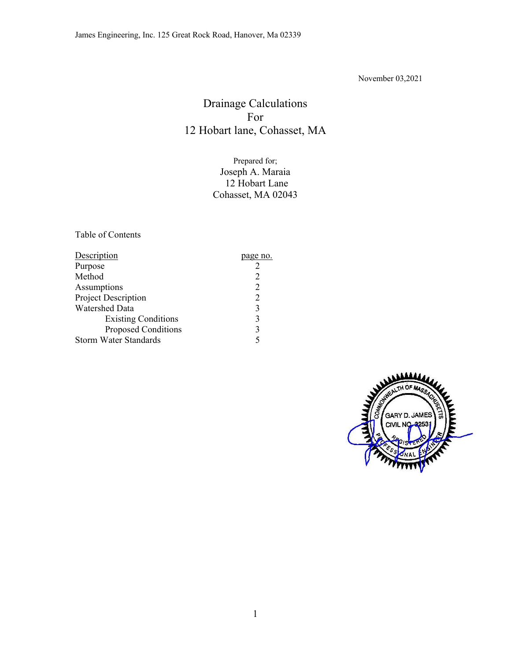November 03,2021

# Drainage Calculations For 12 Hobart lane, Cohasset, MA

Prepared for; Joseph A. Maraia 12 Hobart Lane Cohasset, MA 02043

Table of Contents

| <b>Description</b>           | page no.       |
|------------------------------|----------------|
| Purpose                      |                |
| Method                       |                |
| Assumptions                  | $\overline{2}$ |
| Project Description          | $\overline{2}$ |
| <b>Watershed Data</b>        | 3              |
| <b>Existing Conditions</b>   | 3              |
| <b>Proposed Conditions</b>   | 3              |
| <b>Storm Water Standards</b> |                |

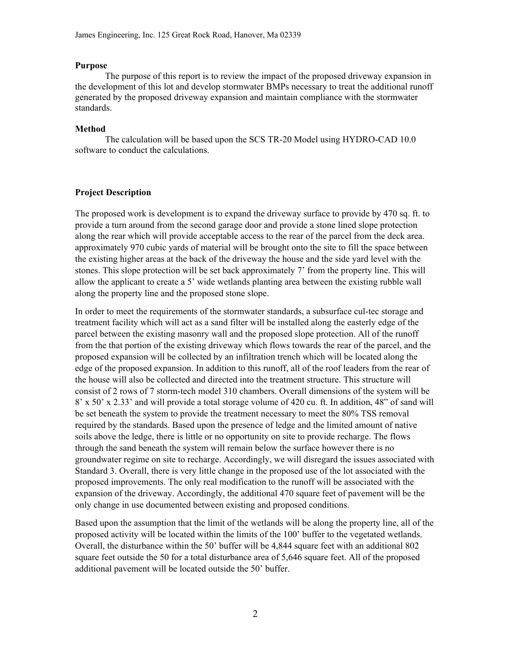#### **Purpose**

The purpose of this report is to review the impact of the proposed driveway expansion in the development of this lot and develop stormwater BMPs necessary to treat the additional runoff generated by the proposed driveway expansion and maintain compliance with the stormwater standards.

#### **Method**

 The calculation will be based upon the SCS TR-20 Model using HYDRO-CAD 10.0 software to conduct the calculations.

#### **Project Description**

The proposed work is development is to expand the driveway surface to provide by 470 sq. ft. to provide a turn around from the second garage door and provide a stone lined slope protection along the rear which will provide acceptable access to the rear of the parcel from the deck area. approximately 970 cubic yards of material will be brought onto the site to fill the space between the existing higher areas at the back of the driveway the house and the side yard level with the stones. This slope protection will be set back approximately 7' from the property line. This will allow the applicant to create a 5' wide wetlands planting area between the existing rubble wall along the property line and the proposed stone slope.

In order to meet the requirements of the stormwater standards, a subsurface cul-tec storage and treatment facility which will act as a sand filter will be installed along the easterly edge of the parcel between the existing masonry wall and the proposed slope protection. All of the runoff from the that portion of the existing driveway which flows towards the rear of the parcel, and the proposed expansion will be collected by an infiltration trench which will be located along the edge of the proposed expansion. In addition to this runoff, all of the roof leaders from the rear of the house will also be collected and directed into the treatment structure. This structure will consist of 2 rows of 7 storm-tech model 310 chambers. Overall dimensions of the system will be 8' x 50' x 2.33' and will provide a total storage volume of 420 cu. ft. In addition, 48" of sand will be set beneath the system to provide the treatment necessary to meet the 80% TSS removal required by the standards. Based upon the presence of ledge and the limited amount of native soils above the ledge, there is little or no opportunity on site to provide recharge. The flows through the sand beneath the system will remain below the surface however there is no groundwater regime on site to recharge. Accordingly, we will disregard the issues associated with Standard 3. Overall, there is very little change in the proposed use of the lot associated with the proposed improvements. The only real modification to the runoff will be associated with the expansion of the driveway. Accordingly, the additional 470 square feet of pavement will be the only change in use documented between existing and proposed conditions.

Based upon the assumption that the limit of the wetlands will be along the property line, all of the proposed activity will be located within the limits of the 100' buffer to the vegetated wetlands. Overall, the disturbance within the 50' buffer will be 4,844 square feet with an additional 802 square feet outside the 50 for a total disturbance area of 5,646 square feet. All of the proposed additional pavement will be located outside the 50' buffer.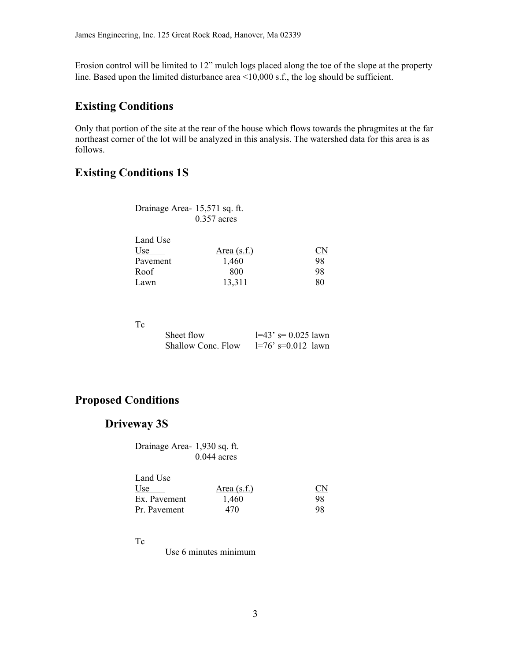Erosion control will be limited to 12" mulch logs placed along the toe of the slope at the property line. Based upon the limited disturbance area <10,000 s.f., the log should be sufficient.

# **Existing Conditions**

Only that portion of the site at the rear of the house which flows towards the phragmites at the far northeast corner of the lot will be analyzed in this analysis. The watershed data for this area is as follows.

# **Existing Conditions 1S**

| Drainage Area- 15,571 sq. ft. |               |
|-------------------------------|---------------|
|                               | $0.357$ acres |

| Area $(s.f.)$ | <u>CN</u> |
|---------------|-----------|
| 1,460         | 98        |
| 800           | 98        |
| 13,311        | 80        |
|               |           |

Tc

| Sheet flow         | $1=43$ ' s= 0.025 lawn |
|--------------------|------------------------|
| Shallow Conc. Flow | $l=76$ ' s=0.012 lawn  |

# **Proposed Conditions**

## **Driveway 3S**

 Drainage Area- 1,930 sq. ft. 0.044 acres

| Land Use     |               |                         |
|--------------|---------------|-------------------------|
| Use          | Area $(s.f.)$ | $\underline{\text{CN}}$ |
| Ex. Pavement | 1.460         | 98                      |
| Pr. Pavement | 470           | 98                      |

#### Tc

Use 6 minutes minimum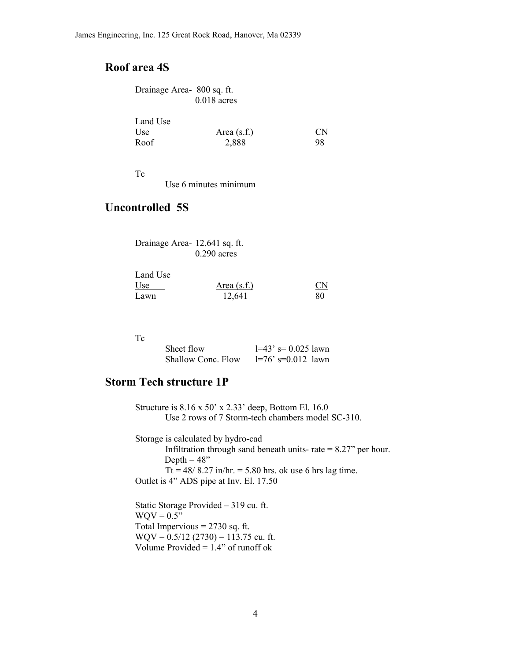# **Roof area 4S**

| Drainage Area- 800 sq. ft. |               |
|----------------------------|---------------|
|                            | $0.018$ acres |

| Land Use |               |           |  |
|----------|---------------|-----------|--|
| Use      | Area $(s.f.)$ | <u>CN</u> |  |
| Roof     | 2,888         | 98        |  |

Tc

Use 6 minutes minimum

## **Uncontrolled 5S**

| Drainage Area- 12,641 sq. ft. |               |
|-------------------------------|---------------|
|                               | $0.290$ acres |

| Land Use |               |                        |
|----------|---------------|------------------------|
| Use      | Area $(s.f.)$ | $\overline{\text{CN}}$ |
| Lawn     | 12,641        | 80                     |

#### Tc

| Sheet flow         | $1=43$ ' s= 0.025 lawn |
|--------------------|------------------------|
| Shallow Conc. Flow | $1=76$ ' s=0.012 lawn  |

## **Storm Tech structure 1P**

 Structure is 8.16 x 50' x 2.33' deep, Bottom El. 16.0 Use 2 rows of 7 Storm-tech chambers model SC-310.

 Storage is calculated by hydro-cad Infiltration through sand beneath units-rate  $= 8.27$ " per hour. Depth  $= 48$ " Tt =  $48/8.27$  in/hr. = 5.80 hrs. ok use 6 hrs lag time. Outlet is 4" ADS pipe at Inv. El. 17.50

 Static Storage Provided – 319 cu. ft.  $WQV = 0.5$  Total Impervious = 2730 sq. ft.  $WQV = 0.5/12$  (2730) = 113.75 cu. ft. Volume Provided =  $1.4$ " of runoff ok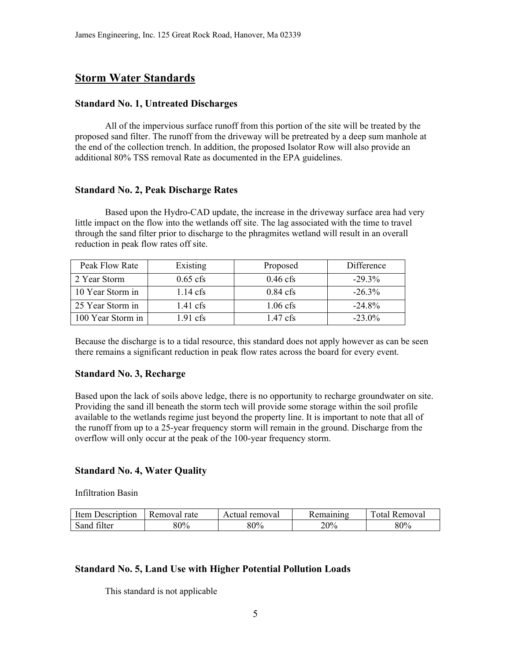## **Storm Water Standards**

#### **Standard No. 1, Untreated Discharges**

 All of the impervious surface runoff from this portion of the site will be treated by the proposed sand filter. The runoff from the driveway will be pretreated by a deep sum manhole at the end of the collection trench. In addition, the proposed Isolator Row will also provide an additional 80% TSS removal Rate as documented in the EPA guidelines.

#### **Standard No. 2, Peak Discharge Rates**

 Based upon the Hydro-CAD update, the increase in the driveway surface area had very little impact on the flow into the wetlands off site. The lag associated with the time to travel through the sand filter prior to discharge to the phragmites wetland will result in an overall reduction in peak flow rates off site.

| Peak Flow Rate    | Existing   | Proposed   | Difference |
|-------------------|------------|------------|------------|
| 2 Year Storm      | $0.65$ cfs | $0.46$ cfs | $-29.3%$   |
| 10 Year Storm in  | $1.14$ cfs | $0.84$ cfs | $-26.3\%$  |
| 25 Year Storm in  | $1.41$ cfs | $1.06$ cfs | $-24.8%$   |
| 100 Year Storm in | 1.91 cfs   | $1.47$ cfs | $-23.0\%$  |

Because the discharge is to a tidal resource, this standard does not apply however as can be seen there remains a significant reduction in peak flow rates across the board for every event.

#### **Standard No. 3, Recharge**

Based upon the lack of soils above ledge, there is no opportunity to recharge groundwater on site. Providing the sand ill beneath the storm tech will provide some storage within the soil profile available to the wetlands regime just beyond the property line. It is important to note that all of the runoff from up to a 25-year frequency storm will remain in the ground. Discharge from the overflow will only occur at the peak of the 100-year frequency storm.

#### **Standard No. 4, Water Quality**

Infiltration Basin

| Item          | Removal | removal |     | 'emoval |
|---------------|---------|---------|-----|---------|
| Jescription   | rate    | Actual  |     | ntя     |
| Sand<br>niter | 80%     | 80%     | 20% | 80%     |

#### **Standard No. 5, Land Use with Higher Potential Pollution Loads**

This standard is not applicable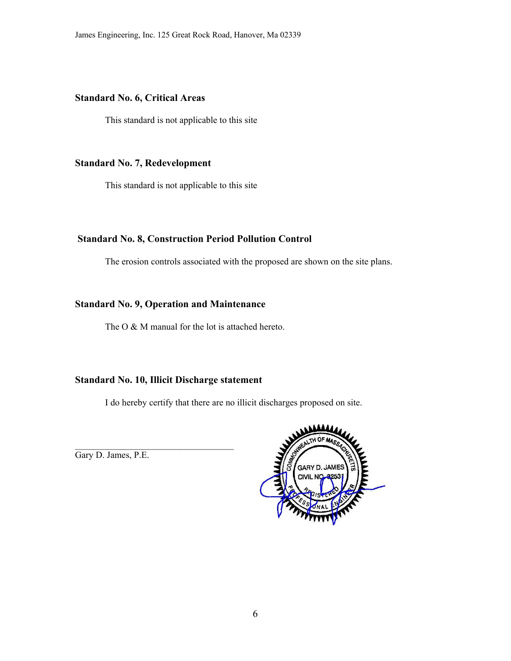#### **Standard No. 6, Critical Areas**

This standard is not applicable to this site

#### **Standard No. 7, Redevelopment**

This standard is not applicable to this site

#### **Standard No. 8, Construction Period Pollution Control**

The erosion controls associated with the proposed are shown on the site plans.

#### **Standard No. 9, Operation and Maintenance**

The O & M manual for the lot is attached hereto.

#### **Standard No. 10, Illicit Discharge statement**

 $\mathcal{L}_\text{max}$ 

I do hereby certify that there are no illicit discharges proposed on site.

Gary D. James, P.E.

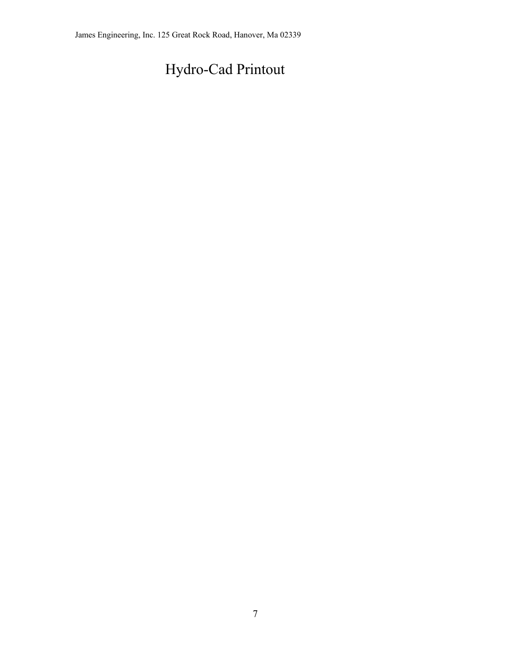# Hydro-Cad Printout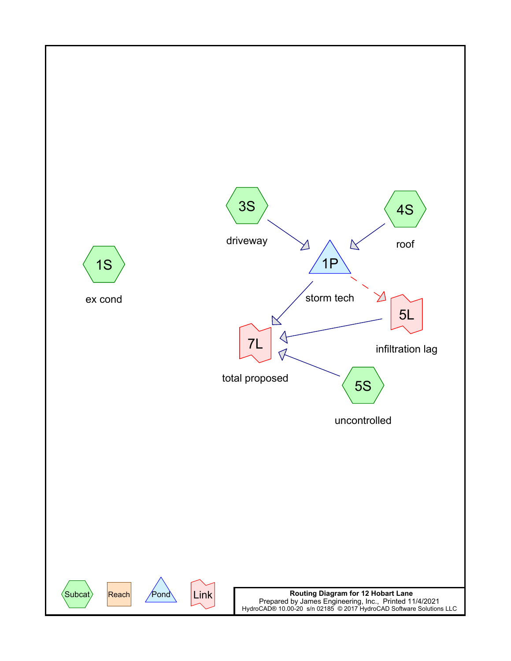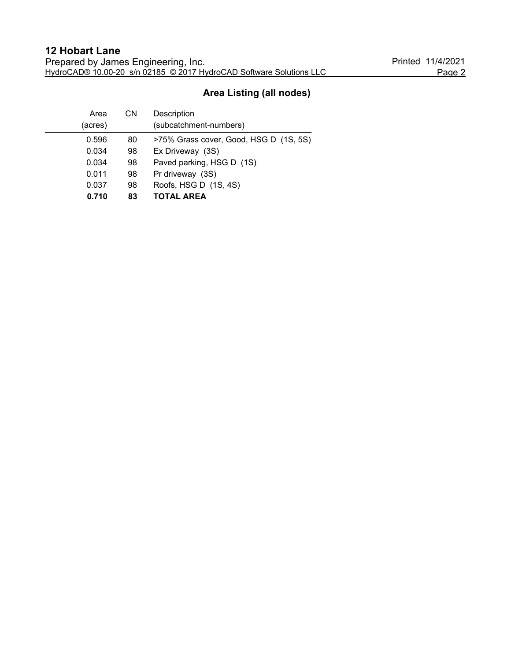# **Area Listing (all nodes)**

| Area    | СN | Description                            |
|---------|----|----------------------------------------|
| (acres) |    | (subcatchment-numbers)                 |
| 0.596   | 80 | >75% Grass cover, Good, HSG D (1S, 5S) |
| 0.034   | 98 | Ex Driveway (3S)                       |
| 0.034   | 98 | Paved parking, HSG D (1S)              |
| 0.011   | 98 | Pr driveway (3S)                       |
| 0.037   | 98 | Roofs, HSG D (1S, 4S)                  |
| 0.710   | 83 | <b>TOTAL AREA</b>                      |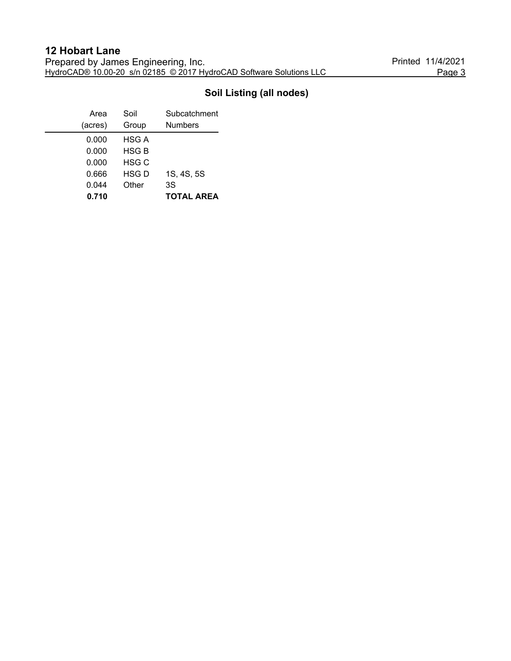# **Soil Listing (all nodes)**

| Area    | Soil         | Subcatchment      |
|---------|--------------|-------------------|
| (acres) | Group        | <b>Numbers</b>    |
| 0.000   | HSG A        |                   |
| 0.000   | <b>HSG B</b> |                   |
| 0.000   | HSG C        |                   |
| 0.666   | <b>HSG D</b> | 1S, 4S, 5S        |
| 0.044   | Other        | 3S                |
| 0.710   |              | <b>TOTAL AREA</b> |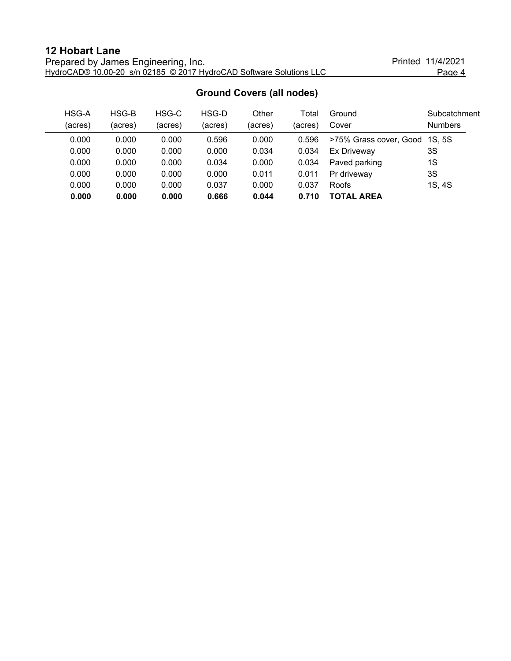| <b>12 Hobart Lane</b>                                               |                   |        |
|---------------------------------------------------------------------|-------------------|--------|
| Prepared by James Engineering, Inc.                                 | Printed 11/4/2021 |        |
| HydroCAD® 10.00-20 s/n 02185 © 2017 HydroCAD Software Solutions LLC |                   | Page 4 |

|         |         |         |         | <u>Urbana Obvers (an noues)</u> |         |                               |                |
|---------|---------|---------|---------|---------------------------------|---------|-------------------------------|----------------|
| HSG-A   | HSG-B   | HSG-C   | HSG-D   | Other                           | Total   | Ground                        | Subcatchment   |
| (acres) | (acres) | (acres) | (acres) | (acres)                         | (acres) | Cover                         | <b>Numbers</b> |
| 0.000   | 0.000   | 0.000   | 0.596   | 0.000                           | 0.596   | >75% Grass cover, Good 1S, 5S |                |
| 0.000   | 0.000   | 0.000   | 0.000   | 0.034                           | 0.034   | Ex Driveway                   | 3S             |
| 0.000   | 0.000   | 0.000   | 0.034   | 0.000                           | 0.034   | Paved parking                 | 1S             |
| 0.000   | 0.000   | 0.000   | 0.000   | 0.011                           | 0.011   | Pr driveway                   | 3S             |
| 0.000   | 0.000   | 0.000   | 0.037   | 0.000                           | 0.037   | <b>Roofs</b>                  | 1S, 4S         |
| 0.000   | 0.000   | 0.000   | 0.666   | 0.044                           | 0.710   | <b>TOTAL AREA</b>             |                |

#### **Ground Covers (all nodes)**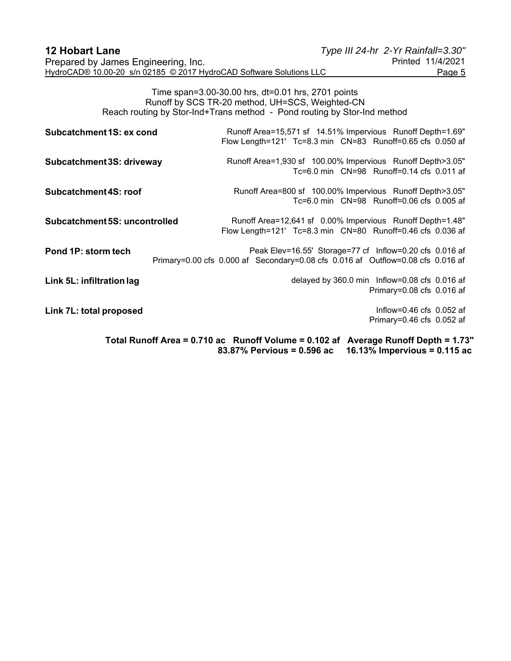| <b>12 Hobart Lane</b>                                               | Type III 24-hr 2-Yr Rainfall=3.30" |
|---------------------------------------------------------------------|------------------------------------|
| Prepared by James Engineering, Inc.                                 | Printed 11/4/2021                  |
| HydroCAD® 10.00-20 s/n 02185 © 2017 HydroCAD Software Solutions LLC | Page 5                             |

Time span=3.00-30.00 hrs, dt=0.01 hrs, 2701 points Runoff by SCS TR-20 method, UH=SCS, Weighted-CN Reach routing by Stor-Ind+Trans method - Pond routing by Stor-Ind method

| Subcatchment 1S: ex cond      | Runoff Area=15,571 sf 14.51% Impervious Runoff Depth=1.69"<br>Flow Length=121' Tc=8.3 min  CN=83  Runoff=0.65 cfs  0.050 af                                  |
|-------------------------------|--------------------------------------------------------------------------------------------------------------------------------------------------------------|
| Subcatchment 3S: driveway     | Runoff Area=1,930 sf 100.00% Impervious Runoff Depth>3.05"<br>Tc=6.0 min CN=98 Runoff=0.14 cfs 0.011 af                                                      |
| Subcatchment 4S: roof         | Runoff Area=800 sf 100.00% Impervious Runoff Depth>3.05"<br>Tc=6.0 min CN=98 Runoff=0.06 cfs 0.005 af                                                        |
| Subcatchment 5S: uncontrolled | Runoff Area=12,641 sf 0.00% Impervious Runoff Depth=1.48"<br>Flow Length=121' Tc=8.3 min  CN=80  Runoff=0.46 cfs  0.036 af                                   |
| Pond 1P: storm tech           | Peak Elev=16.55' Storage=77 cf Inflow=0.20 cfs 0.016 af<br>Primary=0.00 cfs 0.000 af Secondary=0.08 cfs 0.016 af Outflow=0.08 cfs 0.016 af                   |
| Link 5L: infiltration lag     | delayed by 360.0 min Inflow=0.08 cfs 0.016 af<br>Primary=0.08 cfs 0.016 af                                                                                   |
| Link 7L: total proposed       | Inflow=0.46 cfs $0.052$ af<br>Primary=0.46 cfs 0.052 af                                                                                                      |
|                               | Total Runoff Area = 0.710 ac Runoff Volume = 0.102 af<br><b>Average Runoff Depth = 1.73"</b><br>16.13% Impervious = $0.115$ ac<br>83.87% Pervious = 0.596 ac |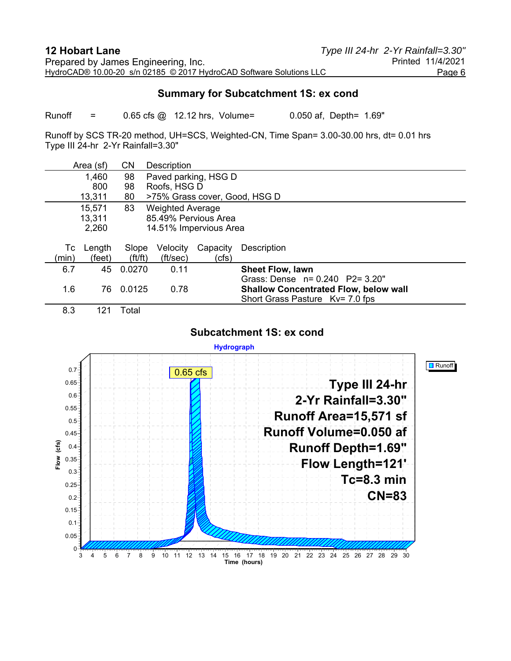#### **Summary for Subcatchment 1S: ex cond**

Runoff = 0.65 cfs @ 12.12 hrs, Volume= 0.050 af, Depth= 1.69"

Runoff by SCS TR-20 method, UH=SCS, Weighted-CN, Time Span= 3.00-30.00 hrs, dt= 0.01 hrs Type III 24-hr 2-Yr Rainfall=3.30"

|       | Area (sf) | <b>CN</b>             | Description             |          |                                              |  |  |
|-------|-----------|-----------------------|-------------------------|----------|----------------------------------------------|--|--|
|       | 1,460     | 98                    | Paved parking, HSG D    |          |                                              |  |  |
|       | 800       | 98                    | Roofs, HSG D            |          |                                              |  |  |
|       | 13,311    | 80                    |                         |          | >75% Grass cover, Good, HSG D                |  |  |
|       | 15,571    | 83                    | <b>Weighted Average</b> |          |                                              |  |  |
|       | 13,311    |                       | 85.49% Pervious Area    |          |                                              |  |  |
|       | 2,260     |                       | 14.51% Impervious Area  |          |                                              |  |  |
|       |           |                       |                         |          |                                              |  |  |
| Тc    | Length    | Slope                 | Velocity                | Capacity | Description                                  |  |  |
| (min) | (feet)    | $({\rm ft}/{\rm ft})$ | (ft/sec)                | (cfs)    |                                              |  |  |
| 6.7   | 45        | 0.0270                | 0.11                    |          | <b>Sheet Flow, lawn</b>                      |  |  |
|       |           |                       |                         |          | Grass: Dense n= 0.240 P2= 3.20"              |  |  |
| 1.6   | 76        | 0.0125                | 0.78                    |          | <b>Shallow Concentrated Flow, below wall</b> |  |  |
|       |           |                       |                         |          | Short Grass Pasture Kv= 7.0 fps              |  |  |
| 8.3   | 121       | Total                 |                         |          |                                              |  |  |

#### **Subcatchment 1S: ex cond**

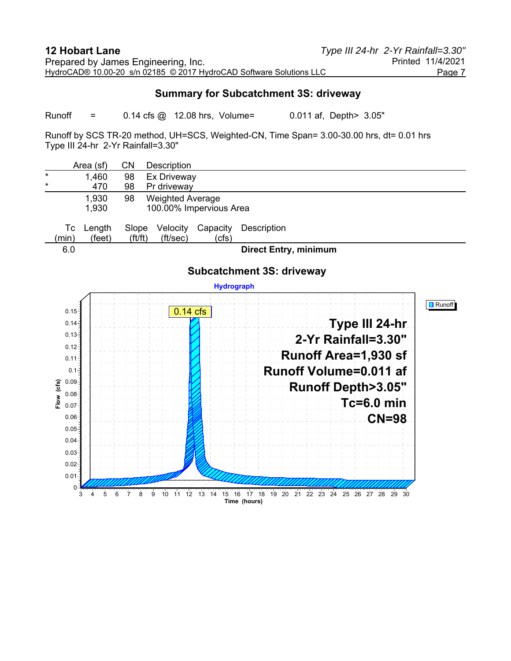#### **Summary for Subcatchment 3S: driveway**

Runoff = 0.14 cfs @ 12.08 hrs, Volume= 0.011 af, Depth> 3.05"

Runoff by SCS TR-20 method, UH=SCS, Weighted-CN, Time Span= 3.00-30.00 hrs, dt= 0.01 hrs Type III 24-hr 2-Yr Rainfall=3.30"

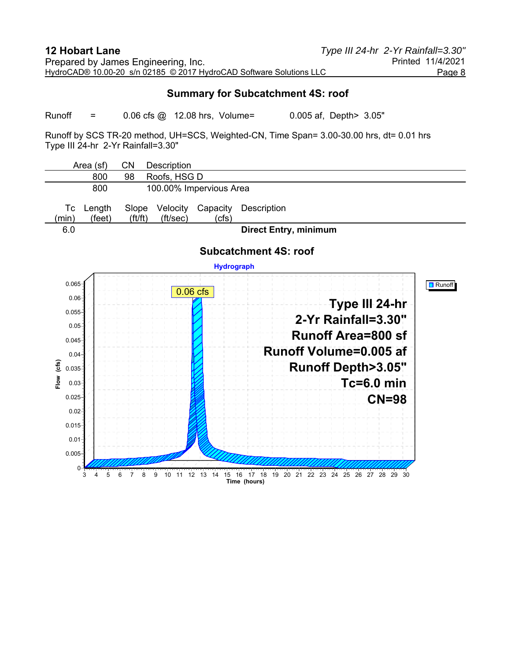#### **Summary for Subcatchment 4S: roof**

Runoff = 0.06 cfs @ 12.08 hrs, Volume= 0.005 af, Depth> 3.05"

Runoff by SCS TR-20 method, UH=SCS, Weighted-CN, Time Span= 3.00-30.00 hrs, dt= 0.01 hrs Type III 24-hr 2-Yr Rainfall=3.30"

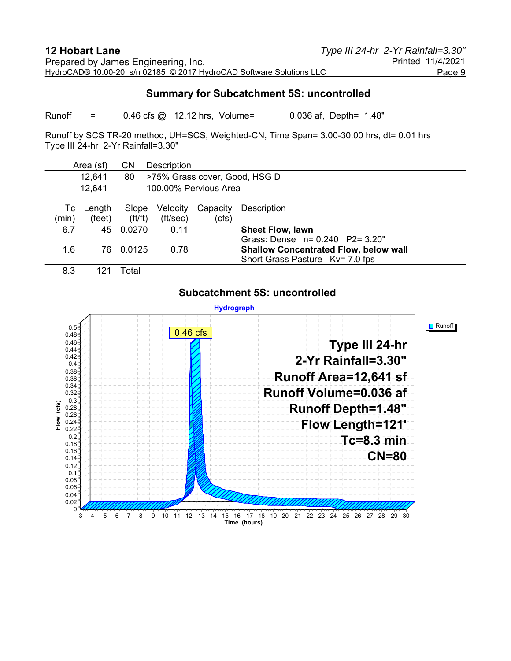#### **Summary for Subcatchment 5S: uncontrolled**

Runoff = 0.46 cfs @ 12.12 hrs, Volume= 0.036 af, Depth= 1.48"

Runoff by SCS TR-20 method, UH=SCS, Weighted-CN, Time Span= 3.00-30.00 hrs, dt= 0.01 hrs Type III 24-hr 2-Yr Rainfall=3.30"

|             | Area (sf)        | CΝ                             | Description          |                       |                                                                                                                       |
|-------------|------------------|--------------------------------|----------------------|-----------------------|-----------------------------------------------------------------------------------------------------------------------|
|             | 12,641           | 80                             |                      |                       | >75% Grass cover, Good, HSG D                                                                                         |
|             | 12,641           |                                |                      | 100.00% Pervious Area |                                                                                                                       |
| Tc<br>(min) | Length<br>(feet) | Slope<br>$({\rm ft}/{\rm ft})$ | Velocity<br>(ft/sec) | Capacity<br>(cfs)     | Description                                                                                                           |
| 6.7         | 45               | 0.0270                         | 0.11                 |                       | <b>Sheet Flow, lawn</b>                                                                                               |
| 1.6         | 76               | 0.0125                         | 0.78                 |                       | Grass: Dense $n = 0.240$ P2= 3.20"<br><b>Shallow Concentrated Flow, below wall</b><br>Short Grass Pasture Kv= 7.0 fps |
| 8.3         |                  | Total                          |                      |                       |                                                                                                                       |

#### **Subcatchment 5S: uncontrolled**

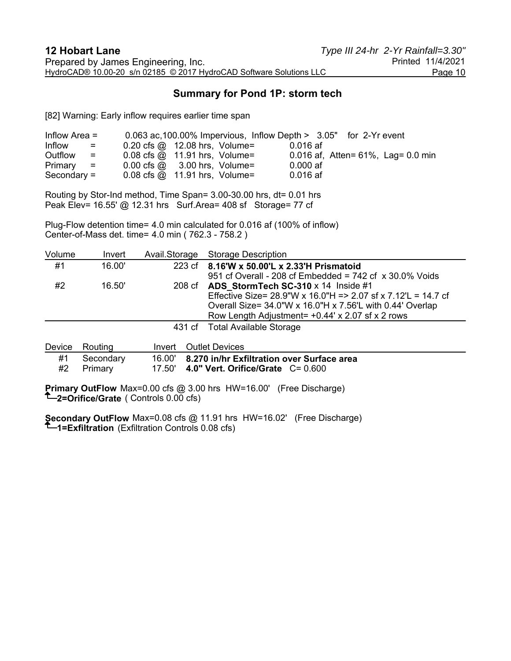## **Summary for Pond 1P: storm tech**

[82] Warning: Early inflow requires earlier time span

| Inflow Area $=$                                | 0.063 ac, 100.00% Impervious, Inflow Depth > 3.05" for 2-Yr event |            |                                        |
|------------------------------------------------|-------------------------------------------------------------------|------------|----------------------------------------|
| Inflow<br>$\mathbf{r} = \mathbf{r} \mathbf{r}$ | $0.20 \text{ cfs} \textcircled{a}$ 12.08 hrs, Volume=             | $0.016$ af |                                        |
| Outflow<br>$\equiv$ 100 $\pm$                  | $0.08$ cfs $\omega$ 11.91 hrs, Volume=                            |            | 0.016 af, Atten= $61\%$ , Lag= 0.0 min |
| $Primary =$                                    | $0.00 \text{ cfs} \quad \textcircled{a}$ 3.00 hrs, Volume=        | $0.000$ af |                                        |
| $Secondary =$                                  | $0.08$ cfs $\omega$ 11.91 hrs, Volume=                            | $0.016$ af |                                        |

Routing by Stor-Ind method, Time Span= 3.00-30.00 hrs, dt= 0.01 hrs Peak Elev= 16.55' @ 12.31 hrs Surf.Area= 408 sf Storage= 77 cf

Plug-Flow detention time= 4.0 min calculated for 0.016 af (100% of inflow) Center-of-Mass det. time= 4.0 min ( 762.3 - 758.2 )

| Volume | Invert |                                                                                                                                                                                                                                                                                                                                                                                                                                                                                            | Avail.Storage Storage Description                                                                                                                                                                                                              |
|--------|--------|--------------------------------------------------------------------------------------------------------------------------------------------------------------------------------------------------------------------------------------------------------------------------------------------------------------------------------------------------------------------------------------------------------------------------------------------------------------------------------------------|------------------------------------------------------------------------------------------------------------------------------------------------------------------------------------------------------------------------------------------------|
| #1     | 16.00' |                                                                                                                                                                                                                                                                                                                                                                                                                                                                                            | 223 cf 8.16'W x 50.00'L x 2.33'H Prismatoid<br>951 cf Overall - 208 cf Embedded = $742$ cf $\times$ 30.0% Voids                                                                                                                                |
| #2     | 16.50' |                                                                                                                                                                                                                                                                                                                                                                                                                                                                                            | 208 cf ADS StormTech SC-310 $\times$ 14 Inside #1<br>Effective Size= $28.9$ "W x 16.0"H = > 2.07 sf x 7.12'L = 14.7 cf<br>Overall Size= $34.0$ "W x 16.0"H x 7.56"L with 0.44" Overlap<br>Row Length Adjustment = $+0.44$ ' x 2.07 sf x 2 rows |
|        |        |                                                                                                                                                                                                                                                                                                                                                                                                                                                                                            | 431 cf Total Available Storage                                                                                                                                                                                                                 |
|        |        | $\blacksquare$ $\blacksquare$ $\blacksquare$ $\blacksquare$ $\blacksquare$ $\blacksquare$ $\blacksquare$ $\blacksquare$ $\blacksquare$ $\blacksquare$ $\blacksquare$ $\blacksquare$ $\blacksquare$ $\blacksquare$ $\blacksquare$ $\blacksquare$ $\blacksquare$ $\blacksquare$ $\blacksquare$ $\blacksquare$ $\blacksquare$ $\blacksquare$ $\blacksquare$ $\blacksquare$ $\blacksquare$ $\blacksquare$ $\blacksquare$ $\blacksquare$ $\blacksquare$ $\blacksquare$ $\blacksquare$ $\blacks$ |                                                                                                                                                                                                                                                |

|    | Device Routing          | Invert Outlet Devices                                                                            |
|----|-------------------------|--------------------------------------------------------------------------------------------------|
| #1 | Secondary<br>#2 Primary | 16.00' 8.270 in/hr Exfiltration over Surface area<br>17.50' 4.0" Vert. Orifice/Grate $C = 0.600$ |

**Primary OutFlow** Max=0.00 cfs @ 3.00 hrs HW=16.00' (Free Discharge) **2=Orifice/Grate** ( Controls 0.00 cfs)

**Secondary OutFlow** Max=0.08 cfs @ 11.91 hrs HW=16.02' (Free Discharge) **1=Exfiltration** (Exfiltration Controls 0.08 cfs)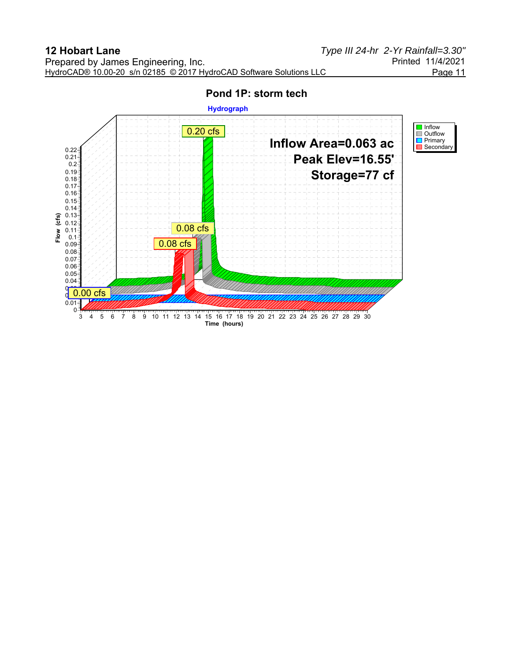**Hydrograph Inflow** 0.20 cfs Outflow Primary Secondary **Inflow Area=0.063 ac** 0.22 **Peak Elev=16.55'** 0.21 0.2 **Storage=77 cf** 0.19 0.18 0.17 0.16 0.15  $0.14 -$ 0.13 **Flow (cfs)** 0.12 0.08 cfs Flow 0.11 0.1 0.08 cfs0.09 0.08 0.07 0.06 0.05 0.04  $0\rightarrow$  $\frac{9}{9}$  0.00 cfs 0.01  $\Omega$ 3 4 5 6 7 8 9 10 11 12 13 14 15 16 17 18 19 20 21 22 23 24 25 26 27 28 29 30 **Time (hours)**

## **Pond 1P: storm tech**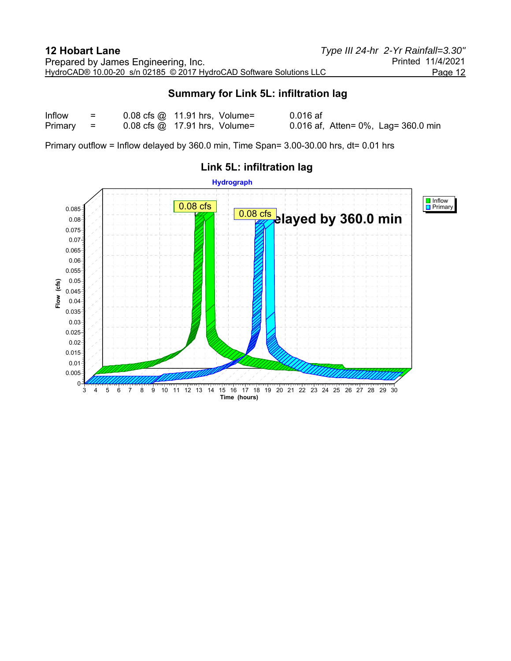## **Summary for Link 5L: infiltration lag**

| Inflow  | $=$ | $0.08$ cfs $\omega$ 11.91 hrs, Volume= | $0.016$ af                          |
|---------|-----|----------------------------------------|-------------------------------------|
| Primary | - = | $0.08$ cfs $\omega$ 17.91 hrs, Volume= | 0.016 af, Atten= 0%, Lag= 360.0 min |

Primary outflow = Inflow delayed by 360.0 min, Time Span= 3.00-30.00 hrs, dt= 0.01 hrs



# **Link 5L: infiltration lag**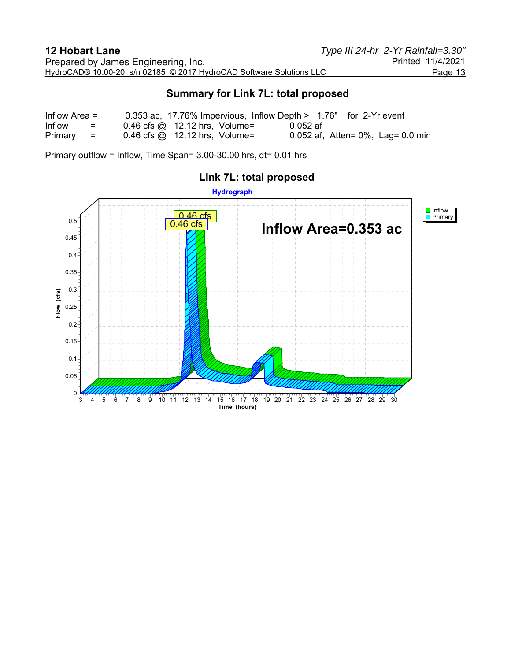## **Summary for Link 7L: total proposed**

| Inflow Area $=$ |     |                                        |          | 0.353 ac, 17.76% Impervious, Inflow Depth > 1.76" for 2-Yr event |
|-----------------|-----|----------------------------------------|----------|------------------------------------------------------------------|
| Inflow          | $=$ | $0.46$ cfs $\omega$ 12.12 hrs, Volume= | 0.052 af |                                                                  |
| $Primary =$     |     | $0.46$ cfs $\omega$ 12.12 hrs, Volume= |          | 0.052 af, Atten= $0\%$ , Lag= 0.0 min                            |

Primary outflow = Inflow, Time Span= 3.00-30.00 hrs, dt= 0.01 hrs



# **Link 7L: total proposed**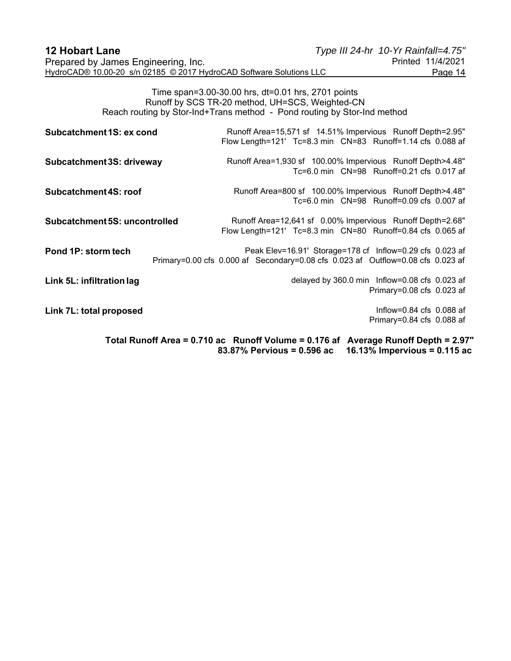| <b>12 Hobart Lane</b>                                               | Type III 24-hr 10-Yr Rainfall=4.75" |                   |
|---------------------------------------------------------------------|-------------------------------------|-------------------|
| Prepared by James Engineering, Inc.                                 |                                     | Printed 11/4/2021 |
| HydroCAD® 10.00-20 s/n 02185 © 2017 HydroCAD Software Solutions LLC |                                     | Page 14           |

Time span=3.00-30.00 hrs, dt=0.01 hrs, 2701 points Runoff by SCS TR-20 method, UH=SCS, Weighted-CN Reach routing by Stor-Ind+Trans method - Pond routing by Stor-Ind method

| Subcatchment 1S: ex cond      | Runoff Area=15,571 sf 14.51% Impervious Runoff Depth=2.95"<br>Flow Length=121' Tc=8.3 min  CN=83  Runoff=1.14 cfs  0.088  af                               |
|-------------------------------|------------------------------------------------------------------------------------------------------------------------------------------------------------|
| Subcatchment 3S: driveway     | Runoff Area=1,930 sf 100.00% Impervious Runoff Depth>4.48"<br>Tc=6.0 min CN=98 Runoff=0.21 cfs 0.017 af                                                    |
| Subcatchment 4S: roof         | Runoff Area=800 sf 100.00% Impervious Runoff Depth>4.48"<br>Tc=6.0 min CN=98 Runoff=0.09 cfs 0.007 af                                                      |
| Subcatchment 5S: uncontrolled | Runoff Area=12,641 sf 0.00% Impervious Runoff Depth=2.68"<br>Flow Length=121' Tc=8.3 min  CN=80  Runoff=0.84 cfs  0.065 af                                 |
| Pond 1P: storm tech           | Peak Elev=16.91' Storage=178 cf Inflow=0.29 cfs 0.023 af<br>Primary=0.00 cfs 0.000 af Secondary=0.08 cfs 0.023 af Outflow=0.08 cfs 0.023 af                |
| Link 5L: infiltration lag     | delayed by 360.0 min Inflow=0.08 cfs 0.023 af<br>Primary=0.08 cfs 0.023 af                                                                                 |
| Link 7L: total proposed       | Inflow= $0.84$ cfs $0.088$ af<br>Primary=0.84 cfs 0.088 af                                                                                                 |
|                               | Total Runoff Area = 0.710 ac Runoff Volume = 0.176 af<br><b>Average Runoff Depth = 2.97"</b><br>16.13% Impervious = 0.115 ac<br>83.87% Pervious = 0.596 ac |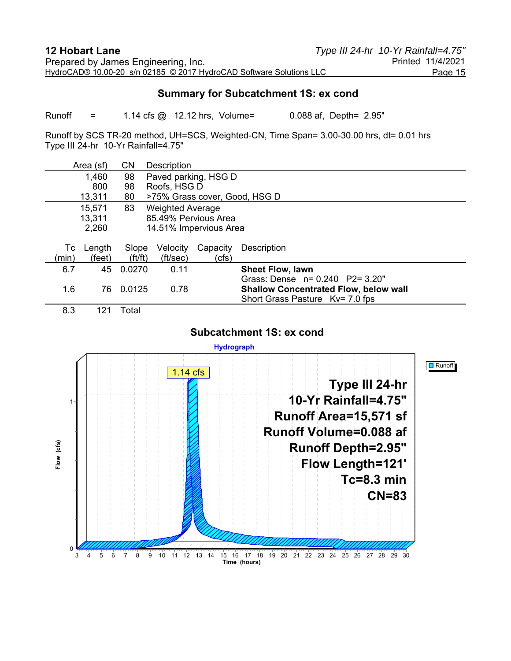#### **Summary for Subcatchment 1S: ex cond**

Runoff = 1.14 cfs @ 12.12 hrs, Volume= 0.088 af, Depth= 2.95"

Runoff by SCS TR-20 method, UH=SCS, Weighted-CN, Time Span= 3.00-30.00 hrs, dt= 0.01 hrs Type III 24-hr 10-Yr Rainfall=4.75"

|       | Area (sf)      | <b>CN</b>   | Description             |          |                                              |  |  |
|-------|----------------|-------------|-------------------------|----------|----------------------------------------------|--|--|
|       | 1,460          | 98          | Paved parking, HSG D    |          |                                              |  |  |
|       | 800            | 98          | Roofs, HSG D            |          |                                              |  |  |
|       | 13,311         | 80          |                         |          | >75% Grass cover, Good, HSG D                |  |  |
|       | 15,571         | 83          | <b>Weighted Average</b> |          |                                              |  |  |
|       | 13,311         |             | 85.49% Pervious Area    |          |                                              |  |  |
|       | 2,260          |             | 14.51% Impervious Area  |          |                                              |  |  |
|       |                |             |                         |          |                                              |  |  |
| Тc    | Length         | Slope       | Velocity                | Capacity | Description                                  |  |  |
| (min) | (feet)         | ft/ft)      | (ft/sec)                | (cfs)    |                                              |  |  |
| 6.7   | 45             | 0.0270      | 0.11                    |          | <b>Sheet Flow, lawn</b>                      |  |  |
|       |                |             |                         |          | Grass: Dense $n = 0.240$ P2= 3.20"           |  |  |
| 1.6   | 76             | 0.0125      | 0.78                    |          | <b>Shallow Concentrated Flow, below wall</b> |  |  |
|       |                |             |                         |          | Short Grass Pasture Kv= 7.0 fps              |  |  |
| n n   | $\overline{A}$ | $T - 1 - 1$ |                         |          |                                              |  |  |

8.3 121 Total

#### **Subcatchment 1S: ex cond**

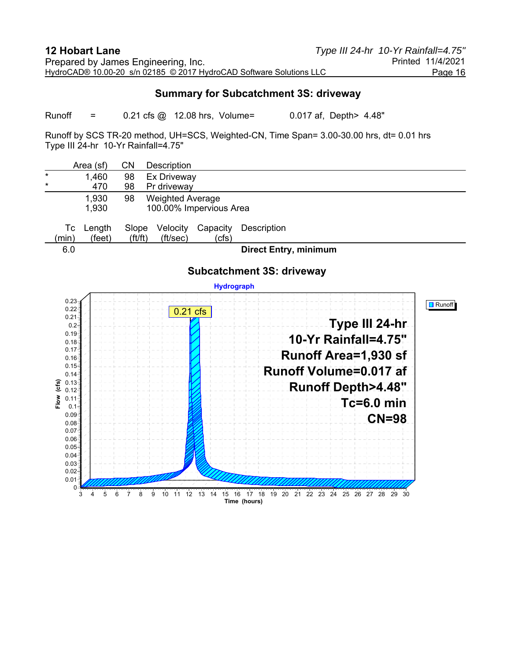#### **Summary for Subcatchment 3S: driveway**

Runoff = 0.21 cfs @ 12.08 hrs, Volume= 0.017 af, Depth> 4.48"

Runoff by SCS TR-20 method, UH=SCS, Weighted-CN, Time Span= 3.00-30.00 hrs, dt= 0.01 hrs Type III 24-hr 10-Yr Rainfall=4.75"

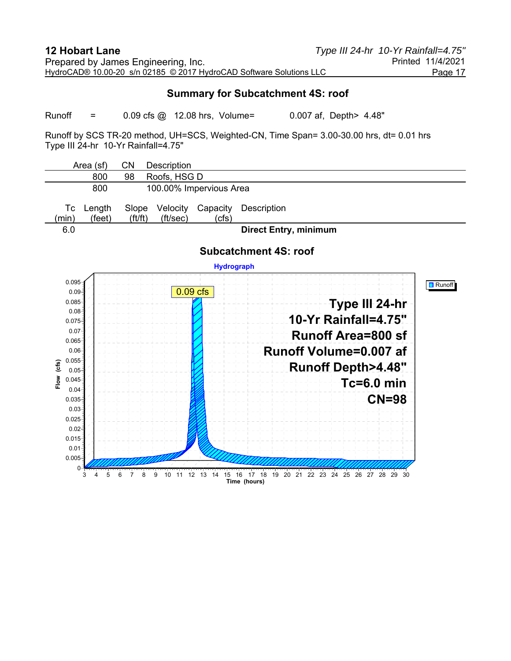#### **Summary for Subcatchment 4S: roof**

Runoff = 0.09 cfs @ 12.08 hrs, Volume= 0.007 af, Depth> 4.48"

Runoff by SCS TR-20 method, UH=SCS, Weighted-CN, Time Span= 3.00-30.00 hrs, dt= 0.01 hrs Type III 24-hr 10-Yr Rainfall=4.75"

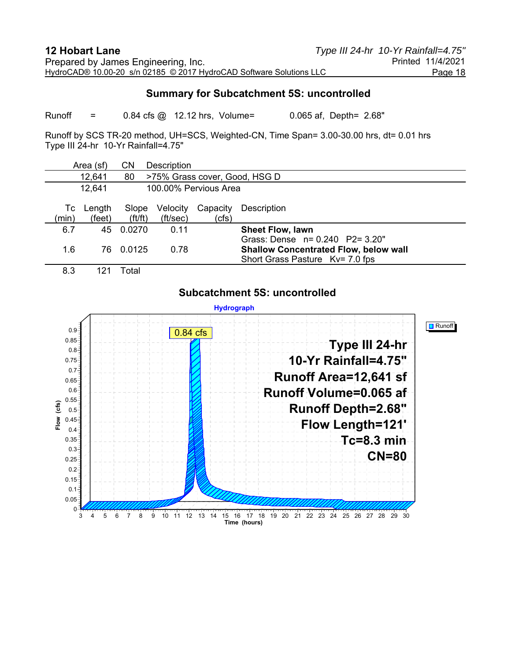#### **Summary for Subcatchment 5S: uncontrolled**

Runoff  $=$  0.84 cfs @ 12.12 hrs, Volume= 0.065 af, Depth= 2.68"

Runoff by SCS TR-20 method, UH=SCS, Weighted-CN, Time Span= 3.00-30.00 hrs, dt= 0.01 hrs Type III 24-hr 10-Yr Rainfall=4.75"

|             | Area (sf)        | CN                                  | <b>Description</b>   |                       |                                                                                                                       |  |
|-------------|------------------|-------------------------------------|----------------------|-----------------------|-----------------------------------------------------------------------------------------------------------------------|--|
|             | 12,641           | 80<br>>75% Grass cover, Good, HSG D |                      |                       |                                                                                                                       |  |
|             | 12,641           |                                     |                      | 100.00% Pervious Area |                                                                                                                       |  |
| Tc<br>(min) | Length<br>(feet) | Slope<br>$({\rm ft}/{\rm ft})$      | Velocity<br>(ft/sec) | Capacity<br>(cfs)     | <b>Description</b>                                                                                                    |  |
| 6.7         | 45               | 0.0270                              | 0.11                 |                       | <b>Sheet Flow, lawn</b>                                                                                               |  |
| 1.6         | 76               | 0.0125                              | 0.78                 |                       | Grass: Dense $n = 0.240$ P2= 3.20"<br><b>Shallow Concentrated Flow, below wall</b><br>Short Grass Pasture Kv= 7.0 fps |  |
| 8.3         | $12^{\degree}$   | Total                               |                      |                       |                                                                                                                       |  |

#### **Subcatchment 5S: uncontrolled**

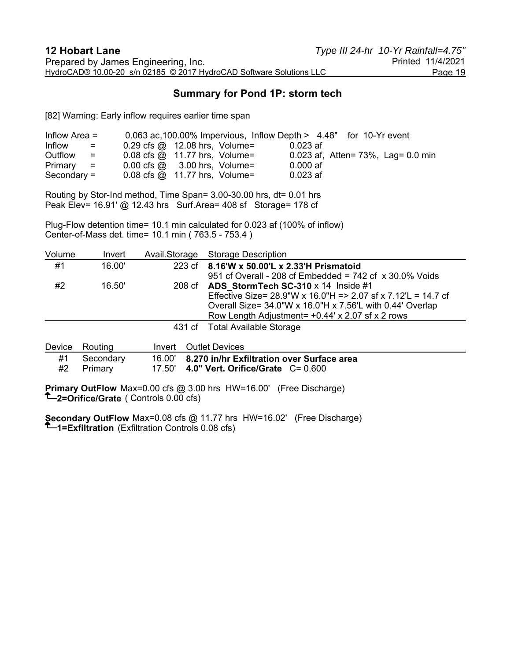## **Summary for Pond 1P: storm tech**

[82] Warning: Early inflow requires earlier time span

| Inflow Area $=$                             |                   | 0.063 ac, 100.00% Impervious, Inflow Depth > 4.48" for 10-Yr event |  |            |  |                                        |
|---------------------------------------------|-------------------|--------------------------------------------------------------------|--|------------|--|----------------------------------------|
| Inflow<br><b>Contract Contract Contract</b> |                   | $0.29 \text{ cfs} \textcircled{a}$ 12.08 hrs, Volume=              |  | $0.023$ af |  |                                        |
| Outflow                                     | $\equiv$ $\equiv$ | $0.08$ cfs $\omega$ 11.77 hrs, Volume=                             |  |            |  | 0.023 af, Atten= $73\%$ , Lag= 0.0 min |
| $Primary =$                                 |                   | $0.00 \text{ cfs} \quad \textcircled{a}$ 3.00 hrs, Volume=         |  | $0.000$ af |  |                                        |
| Secondary $=$                               |                   | $0.08$ cfs $\omega$ 11.77 hrs, Volume=                             |  | $0.023$ af |  |                                        |

Routing by Stor-Ind method, Time Span= 3.00-30.00 hrs, dt= 0.01 hrs Peak Elev= 16.91' @ 12.43 hrs Surf.Area= 408 sf Storage= 178 cf

Plug-Flow detention time= 10.1 min calculated for 0.023 af (100% of inflow) Center-of-Mass det. time= 10.1 min ( 763.5 - 753.4 )

| Volume | Invert | Avail.Storage Storage Description                                                                                                                                                                                                           |
|--------|--------|---------------------------------------------------------------------------------------------------------------------------------------------------------------------------------------------------------------------------------------------|
| #1     | 16.00' | 223 cf 8.16'W x 50.00'L x 2.33'H Prismatoid<br>951 cf Overall - 208 cf Embedded = $742$ cf $\times$ 30.0% Voids                                                                                                                             |
| #2     | 16.50' | 208 cf ADS StormTech SC-310 $\times$ 14 Inside #1<br>Effective Size= $28.9$ "W x 16.0"H = > 2.07 sf x 7.12'L = 14.7 cf<br>Overall Size= 34.0"W x 16.0"H x 7.56'L with 0.44' Overlap<br>Row Length Adjustment = $+0.44$ ' x 2.07 sf x 2 rows |
|        |        | 431 cf Total Available Storage                                                                                                                                                                                                              |
|        |        |                                                                                                                                                                                                                                             |

|    | Device Routing          | Invert Outlet Devices                                                                            |
|----|-------------------------|--------------------------------------------------------------------------------------------------|
| #1 | Secondary<br>#2 Primary | 16.00' 8.270 in/hr Exfiltration over Surface area<br>17.50' 4.0" Vert. Orifice/Grate $C = 0.600$ |

**Primary OutFlow** Max=0.00 cfs @ 3.00 hrs HW=16.00' (Free Discharge) **2=Orifice/Grate** ( Controls 0.00 cfs)

**Secondary OutFlow** Max=0.08 cfs @ 11.77 hrs HW=16.02' (Free Discharge) **1=Exfiltration** (Exfiltration Controls 0.08 cfs)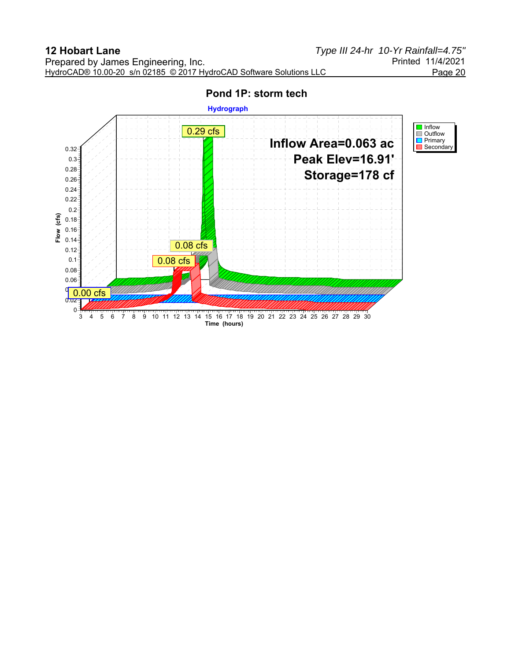

# **Pond 1P: storm tech**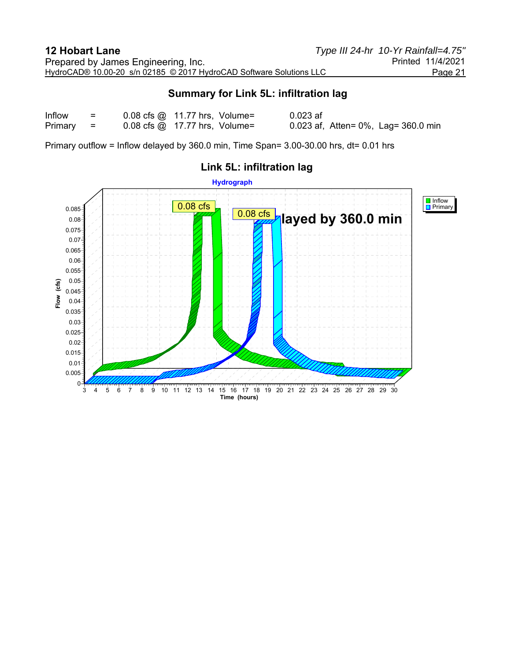## **Summary for Link 5L: infiltration lag**

| Inflow  | $\equiv$ | $0.08$ cfs $\omega$ 11.77 hrs, Volume= | $0.023$ af                          |
|---------|----------|----------------------------------------|-------------------------------------|
| Primary | - =      | $0.08$ cfs $\omega$ 17.77 hrs, Volume= | 0.023 af, Atten= 0%, Lag= 360.0 min |

Primary outflow = Inflow delayed by 360.0 min, Time Span= 3.00-30.00 hrs, dt= 0.01 hrs



# **Link 5L: infiltration lag**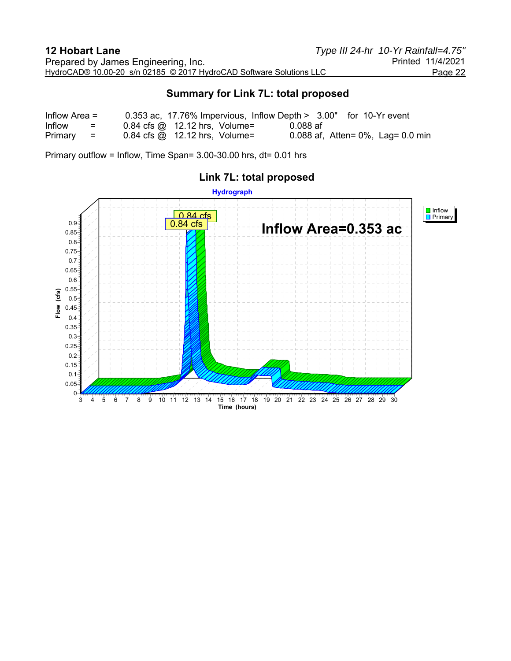## **Summary for Link 7L: total proposed**

| Inflow Area $=$ |                      |                                                             |          | 0.353 ac, 17.76% Impervious, Inflow Depth $> 3.00"$ for 10-Yr event |
|-----------------|----------------------|-------------------------------------------------------------|----------|---------------------------------------------------------------------|
| <b>Inflow</b>   | $=$ $-$              | $0.84$ cfs $\omega$ 12.12 hrs, Volume=                      | 0.088 af |                                                                     |
| Primary         | and the state of the | $0.84 \text{ cfs} \quad \textcircled{a}$ 12.12 hrs, Volume= |          | 0.088 af, Atten= $0\%$ , Lag= 0.0 min                               |

Primary outflow = Inflow, Time Span= 3.00-30.00 hrs, dt= 0.01 hrs



# **Link 7L: total proposed**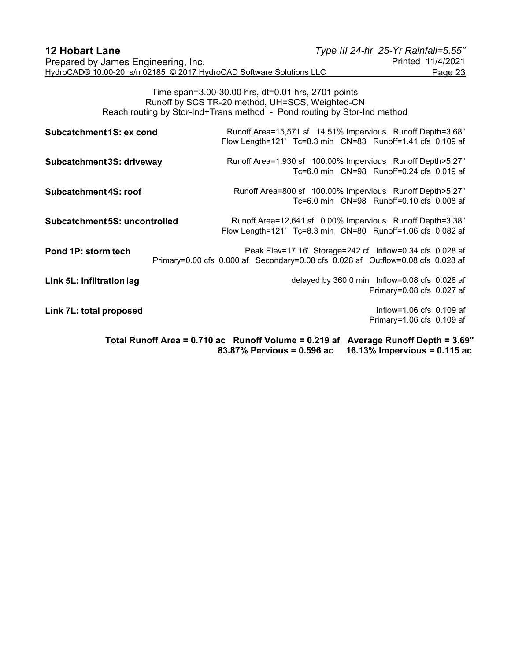| <b>12 Hobart Lane</b>                                               | Type III 24-hr 25-Yr Rainfall=5.55" |                   |
|---------------------------------------------------------------------|-------------------------------------|-------------------|
| Prepared by James Engineering, Inc.                                 |                                     | Printed 11/4/2021 |
| HydroCAD® 10.00-20 s/n 02185 © 2017 HydroCAD Software Solutions LLC |                                     | Page 23           |

Time span=3.00-30.00 hrs, dt=0.01 hrs, 2701 points Runoff by SCS TR-20 method, UH=SCS, Weighted-CN Reach routing by Stor-Ind+Trans method - Pond routing by Stor-Ind method

| Subcatchment 1S: ex cond      | Runoff Area=15,571 sf 14.51% Impervious Runoff Depth=3.68"<br>Flow Length=121' Tc=8.3 min  CN=83  Runoff=1.41 cfs  0.109  af                                 |
|-------------------------------|--------------------------------------------------------------------------------------------------------------------------------------------------------------|
| Subcatchment 3S: driveway     | Runoff Area=1,930 sf 100.00% Impervious Runoff Depth>5.27"<br>Tc=6.0 min CN=98 Runoff=0.24 cfs 0.019 af                                                      |
| Subcatchment 4S: roof         | Runoff Area=800 sf 100.00% Impervious Runoff Depth>5.27"<br>Tc=6.0 min CN=98 Runoff=0.10 cfs 0.008 af                                                        |
| Subcatchment 5S: uncontrolled | Runoff Area=12,641 sf 0.00% Impervious Runoff Depth=3.38"<br>Flow Length=121' Tc=8.3 min  CN=80  Runoff=1.06 cfs  0.082  af                                  |
| Pond 1P: storm tech           | Peak Elev=17.16' Storage=242 cf Inflow=0.34 cfs 0.028 af<br>Primary=0.00 cfs 0.000 af Secondary=0.08 cfs 0.028 af Outflow=0.08 cfs 0.028 af                  |
| Link 5L: infiltration lag     | delayed by 360.0 min Inflow=0.08 cfs 0.028 af<br>Primary=0.08 cfs 0.027 af                                                                                   |
| Link 7L: total proposed       | Inflow= $1.06$ cfs $0.109$ af<br>Primary=1.06 cfs 0.109 af                                                                                                   |
|                               | Total Runoff Area = 0.710 ac Runoff Volume = 0.219 af<br><b>Average Runoff Depth = 3.69"</b><br>16.13% Impervious = $0.115$ ac<br>83.87% Pervious = 0.596 ac |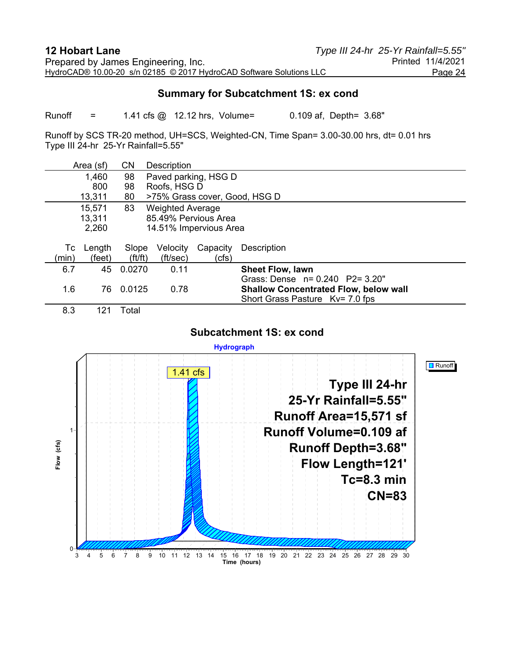#### **Summary for Subcatchment 1S: ex cond**

Runoff = 1.41 cfs @ 12.12 hrs, Volume= 0.109 af, Depth= 3.68"

Runoff by SCS TR-20 method, UH=SCS, Weighted-CN, Time Span= 3.00-30.00 hrs, dt= 0.01 hrs Type III 24-hr 25-Yr Rainfall=5.55"

|       | Area (sf) | <b>CN</b>             | Description             |          |                                              |
|-------|-----------|-----------------------|-------------------------|----------|----------------------------------------------|
|       | 1,460     | 98                    | Paved parking, HSG D    |          |                                              |
|       | 800       | 98                    | Roofs, HSG D            |          |                                              |
|       | 13,311    | 80                    |                         |          | >75% Grass cover, Good, HSG D                |
|       | 15,571    | 83                    | <b>Weighted Average</b> |          |                                              |
|       | 13,311    |                       | 85.49% Pervious Area    |          |                                              |
|       | 2,260     |                       | 14.51% Impervious Area  |          |                                              |
|       |           |                       |                         |          |                                              |
| Тc    | Length    | Slope                 | Velocity                | Capacity | <b>Description</b>                           |
| (min) | (feet)    | $({\rm ft}/{\rm ft})$ | (ft/sec)                | (cfs)    |                                              |
| 6.7   | 45        | 0.0270                | 0.11                    |          | <b>Sheet Flow, lawn</b>                      |
|       |           |                       |                         |          | Grass: Dense n= 0.240 P2= 3.20"              |
| 1.6   | 76        | 0.0125                | 0.78                    |          | <b>Shallow Concentrated Flow, below wall</b> |
|       |           |                       |                         |          | Short Grass Pasture Kv= 7.0 fps              |
| 8.3   | 121       | Total                 |                         |          |                                              |

#### **Subcatchment 1S: ex cond**

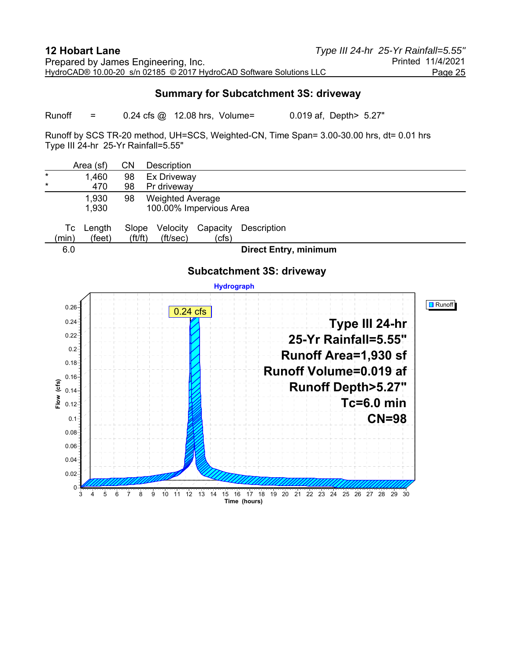#### **Summary for Subcatchment 3S: driveway**

Runoff =  $0.24 \text{ cfs}$   $\omega$  12.08 hrs, Volume=  $0.019 \text{ af}$ , Depth> 5.27"

Runoff by SCS TR-20 method, UH=SCS, Weighted-CN, Time Span= 3.00-30.00 hrs, dt= 0.01 hrs Type III 24-hr 25-Yr Rainfall=5.55"

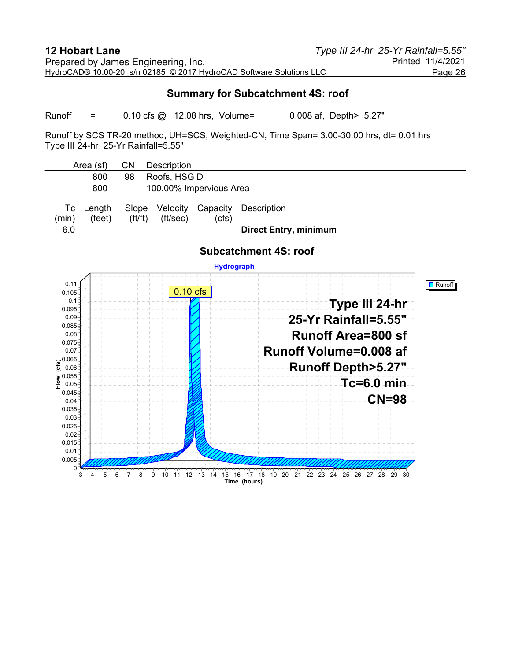#### **Summary for Subcatchment 4S: roof**

Runoff =  $0.10 \text{ cfs}$   $\omega$  12.08 hrs, Volume=  $0.008 \text{ af}$ , Depth> 5.27"

Runoff by SCS TR-20 method, UH=SCS, Weighted-CN, Time Span= 3.00-30.00 hrs, dt= 0.01 hrs Type III 24-hr 25-Yr Rainfall=5.55"

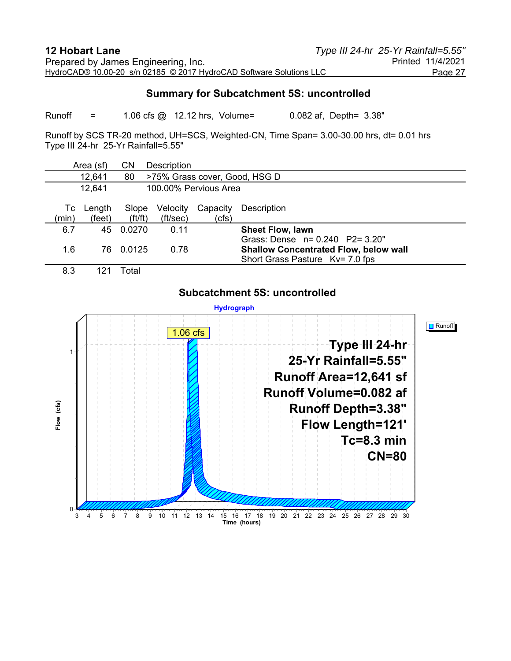#### **Summary for Subcatchment 5S: uncontrolled**

Runoff = 1.06 cfs @ 12.12 hrs, Volume= 0.082 af, Depth= 3.38"

Runoff by SCS TR-20 method, UH=SCS, Weighted-CN, Time Span= 3.00-30.00 hrs, dt= 0.01 hrs Type III 24-hr 25-Yr Rainfall=5.55"

|                                               | Area (sf)        | CN                             | Description          |                   |                                                                                                                       |
|-----------------------------------------------|------------------|--------------------------------|----------------------|-------------------|-----------------------------------------------------------------------------------------------------------------------|
| 12,641<br>>75% Grass cover, Good, HSG D<br>80 |                  |                                |                      |                   |                                                                                                                       |
| 12,641                                        |                  | 100,00% Pervious Area          |                      |                   |                                                                                                                       |
| Tc<br>(min)                                   | Length<br>(feet) | Slope<br>$({\rm ft}/{\rm ft})$ | Velocity<br>(ft/sec) | Capacity<br>(cfs) | Description                                                                                                           |
| 6.7                                           | 45               | 0.0270                         | 0.11                 |                   | <b>Sheet Flow, lawn</b>                                                                                               |
| 1.6                                           | 76               | 0.0125                         | 0.78                 |                   | Grass: Dense $n = 0.240$ P2= 3.20"<br><b>Shallow Concentrated Flow, below wall</b><br>Short Grass Pasture Kv= 7.0 fps |
| 8.3                                           |                  | Total                          |                      |                   |                                                                                                                       |



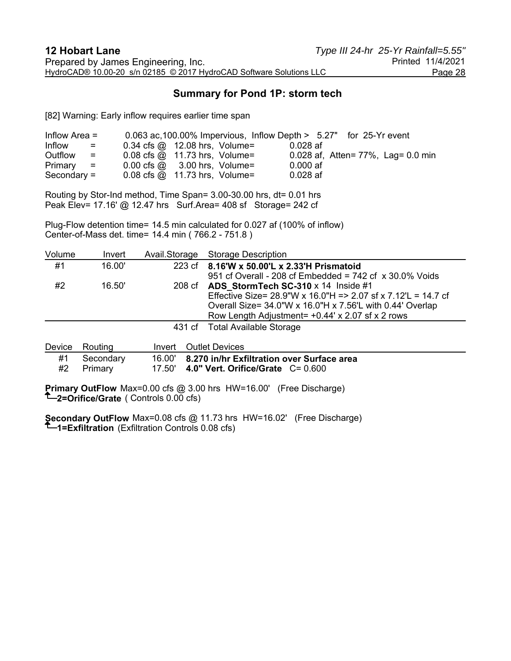## **Summary for Pond 1P: storm tech**

[82] Warning: Early inflow requires earlier time span

| Inflow Area $=$ |                                      |                                                            | 0.063 ac, 100.00% Impervious, Inflow Depth $> 5.27$ " for 25-Yr event |            |                                    |
|-----------------|--------------------------------------|------------------------------------------------------------|-----------------------------------------------------------------------|------------|------------------------------------|
| Inflow          | $\mathbf{r} = \mathbf{r} \mathbf{r}$ | $0.34 \text{ cfs} \textcircled{a}$ 12.08 hrs, Volume=      |                                                                       | $0.028$ af |                                    |
| Outflow         | $\equiv$ $\equiv$                    | $0.08$ cfs $\omega$ 11.73 hrs, Volume=                     |                                                                       |            | 0.028 af, Atten= 77%, Lag= 0.0 min |
| $Primary =$     |                                      | $0.00 \text{ cfs} \quad \textcircled{a}$ 3.00 hrs, Volume= |                                                                       | $0.000$ af |                                    |
| $Secondary =$   |                                      | $0.08$ cfs $\omega$ 11.73 hrs, Volume=                     |                                                                       | $0.028$ af |                                    |

Routing by Stor-Ind method, Time Span= 3.00-30.00 hrs, dt= 0.01 hrs Peak Elev= 17.16' @ 12.47 hrs Surf.Area= 408 sf Storage= 242 cf

Plug-Flow detention time= 14.5 min calculated for 0.027 af (100% of inflow) Center-of-Mass det. time= 14.4 min ( 766.2 - 751.8 )

| Volume | Invert |                                                                                                                                                                                                                                                                                                                                                                                                                                                                                            | Avail.Storage Storage Description                                                                                                                                                                                                              |
|--------|--------|--------------------------------------------------------------------------------------------------------------------------------------------------------------------------------------------------------------------------------------------------------------------------------------------------------------------------------------------------------------------------------------------------------------------------------------------------------------------------------------------|------------------------------------------------------------------------------------------------------------------------------------------------------------------------------------------------------------------------------------------------|
| #1     | 16.00' |                                                                                                                                                                                                                                                                                                                                                                                                                                                                                            | 223 cf 8.16'W x 50.00'L x 2.33'H Prismatoid<br>951 cf Overall - 208 cf Embedded = $742$ cf $\times$ 30.0% Voids                                                                                                                                |
| #2     | 16.50' |                                                                                                                                                                                                                                                                                                                                                                                                                                                                                            | 208 cf ADS StormTech SC-310 $\times$ 14 Inside #1<br>Effective Size= $28.9$ "W x 16.0"H = > 2.07 sf x 7.12'L = 14.7 cf<br>Overall Size= $34.0$ "W x 16.0"H x 7.56"L with 0.44" Overlap<br>Row Length Adjustment = $+0.44$ ' x 2.07 sf x 2 rows |
|        |        |                                                                                                                                                                                                                                                                                                                                                                                                                                                                                            | 431 cf Total Available Storage                                                                                                                                                                                                                 |
|        |        | $\blacksquare$ $\blacksquare$ $\blacksquare$ $\blacksquare$ $\blacksquare$ $\blacksquare$ $\blacksquare$ $\blacksquare$ $\blacksquare$ $\blacksquare$ $\blacksquare$ $\blacksquare$ $\blacksquare$ $\blacksquare$ $\blacksquare$ $\blacksquare$ $\blacksquare$ $\blacksquare$ $\blacksquare$ $\blacksquare$ $\blacksquare$ $\blacksquare$ $\blacksquare$ $\blacksquare$ $\blacksquare$ $\blacksquare$ $\blacksquare$ $\blacksquare$ $\blacksquare$ $\blacksquare$ $\blacksquare$ $\blacks$ |                                                                                                                                                                                                                                                |

|    | Device Routing | Invert Outlet Devices                             |
|----|----------------|---------------------------------------------------|
| #1 | Secondary      | 16.00' 8.270 in/hr Exfiltration over Surface area |
| #2 | Primary        | 17.50' 4.0" Vert. Orifice/Grate $C = 0.600$       |

**Primary OutFlow** Max=0.00 cfs @ 3.00 hrs HW=16.00' (Free Discharge) **2=Orifice/Grate** ( Controls 0.00 cfs)

**Secondary OutFlow** Max=0.08 cfs @ 11.73 hrs HW=16.02' (Free Discharge) **1=Exfiltration** (Exfiltration Controls 0.08 cfs)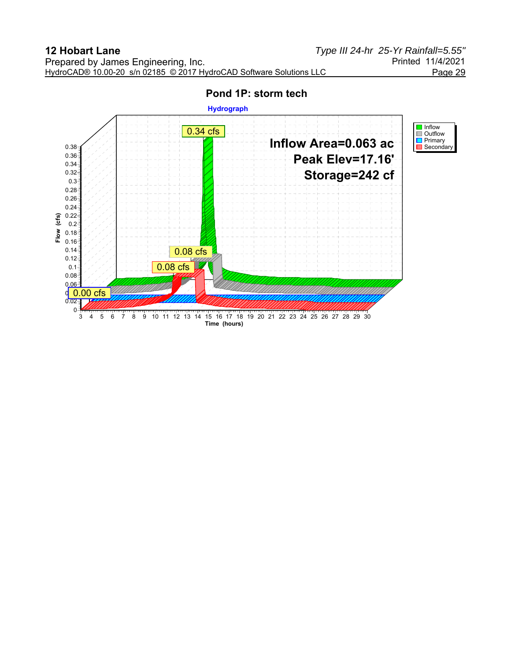

#### **Pond 1P: storm tech**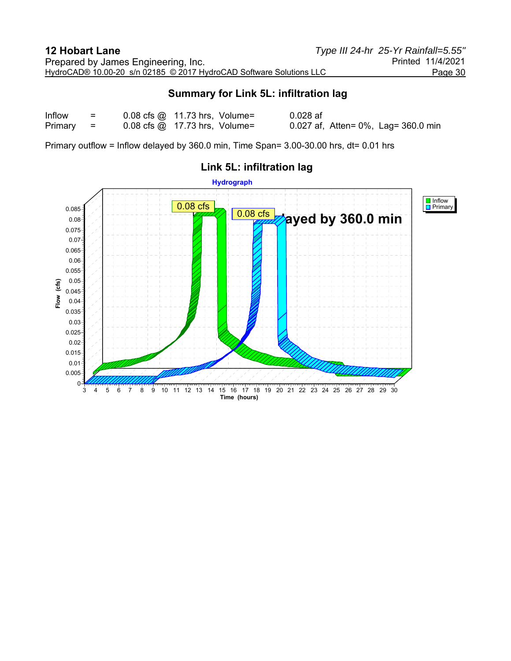## **Summary for Link 5L: infiltration lag**

| Inflow  | $=$           | $0.08$ cfs $\omega$ 11.73 hrs, Volume= | $0.028$ af                          |
|---------|---------------|----------------------------------------|-------------------------------------|
| Primary | $\sim$ $\sim$ | $0.08$ cfs $\omega$ 17.73 hrs, Volume= | 0.027 af, Atten= 0%, Lag= 360.0 min |

Primary outflow = Inflow delayed by 360.0 min, Time Span= 3.00-30.00 hrs, dt= 0.01 hrs



# **Link 5L: infiltration lag**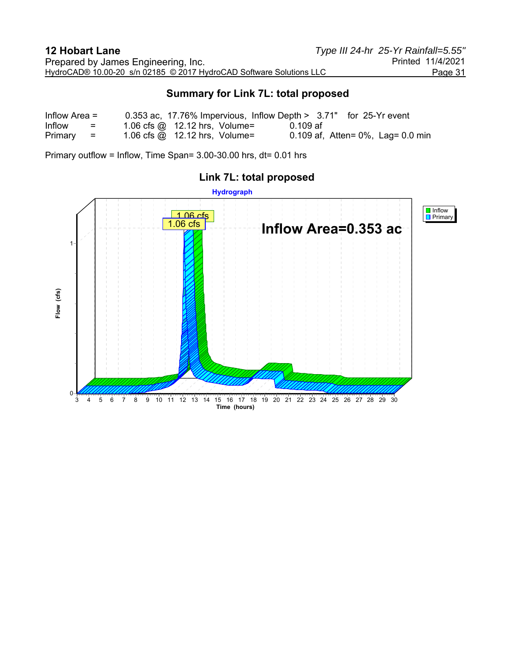## **Summary for Link 7L: total proposed**

| Inflow Area $=$ |                           |                                      |          | 0.353 ac, 17.76% Impervious, Inflow Depth > 3.71" for 25-Yr event |
|-----------------|---------------------------|--------------------------------------|----------|-------------------------------------------------------------------|
| Inflow          | $\mathbf{r} = \mathbf{r}$ | 1.06 cfs $\omega$ 12.12 hrs, Volume= | 0.109 af |                                                                   |
| Primary         | 10 H H                    | 1.06 cfs $\omega$ 12.12 hrs, Volume= |          | 0.109 af, Atten= $0\%$ , Lag= 0.0 min                             |

Primary outflow = Inflow, Time Span= 3.00-30.00 hrs, dt= 0.01 hrs



# **Link 7L: total proposed**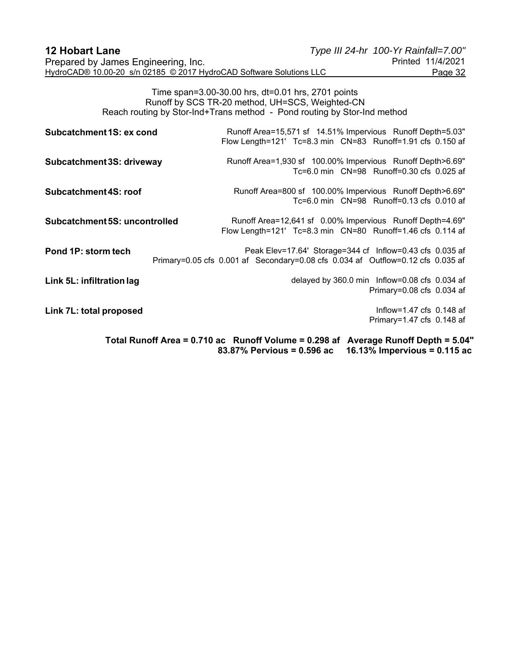| <b>12 Hobart Lane</b>                                               | Type III 24-hr 100-Yr Rainfall=7.00" |                   |
|---------------------------------------------------------------------|--------------------------------------|-------------------|
| Prepared by James Engineering, Inc.                                 |                                      | Printed 11/4/2021 |
| HydroCAD® 10.00-20 s/n 02185 © 2017 HydroCAD Software Solutions LLC |                                      | Page 32           |

Time span=3.00-30.00 hrs, dt=0.01 hrs, 2701 points Runoff by SCS TR-20 method, UH=SCS, Weighted-CN Reach routing by Stor-Ind+Trans method - Pond routing by Stor-Ind method

| Subcatchment 1S: ex cond      | Runoff Area=15,571 sf 14.51% Impervious Runoff Depth=5.03"<br>Flow Length=121' Tc=8.3 min  CN=83  Runoff=1.91 cfs  0.150  af                               |
|-------------------------------|------------------------------------------------------------------------------------------------------------------------------------------------------------|
| Subcatchment 3S: driveway     | Runoff Area=1,930 sf 100.00% Impervious Runoff Depth>6.69"<br>Tc=6.0 min CN=98 Runoff=0.30 cfs 0.025 af                                                    |
| Subcatchment 4S: roof         | Runoff Area=800 sf 100.00% Impervious Runoff Depth>6.69"<br>Tc=6.0 min CN=98 Runoff=0.13 cfs 0.010 af                                                      |
| Subcatchment 5S: uncontrolled | Runoff Area=12,641 sf 0.00% Impervious Runoff Depth=4.69"<br>Flow Length=121' Tc=8.3 min  CN=80  Runoff=1.46 cfs 0.114 af                                  |
| Pond 1P: storm tech           | Peak Elev=17.64' Storage=344 cf Inflow=0.43 cfs 0.035 af<br>Primary=0.05 cfs 0.001 af Secondary=0.08 cfs 0.034 af Outflow=0.12 cfs 0.035 af                |
| Link 5L: infiltration lag     | delayed by 360.0 min Inflow=0.08 cfs 0.034 af<br>Primary=0.08 cfs 0.034 af                                                                                 |
| Link 7L: total proposed       | Inflow=1.47 cfs $0.148$ af<br>Primary=1.47 cfs 0.148 af                                                                                                    |
|                               | Total Runoff Area = 0.710 ac Runoff Volume = 0.298 af<br><b>Average Runoff Depth = 5.04"</b><br>16.13% Impervious = 0.115 ac<br>83.87% Pervious = 0.596 ac |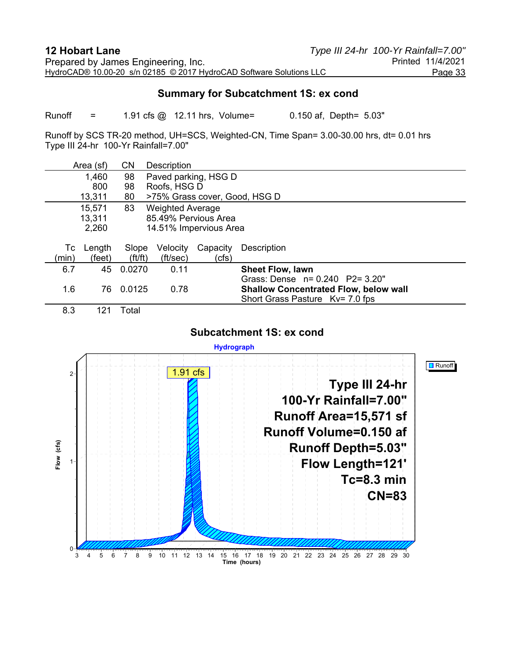#### **Summary for Subcatchment 1S: ex cond**

Runoff = 1.91 cfs @ 12.11 hrs, Volume= 0.150 af, Depth= 5.03"

Runoff by SCS TR-20 method, UH=SCS, Weighted-CN, Time Span= 3.00-30.00 hrs, dt= 0.01 hrs Type III 24-hr 100-Yr Rainfall=7.00"

|       | Area (sf) | <b>CN</b>             | Description             |                        |                                              |
|-------|-----------|-----------------------|-------------------------|------------------------|----------------------------------------------|
|       | 1,460     | 98                    |                         | Paved parking, HSG D   |                                              |
|       | 800       | 98                    | Roofs, HSG D            |                        |                                              |
|       | 13,311    | 80                    |                         |                        | >75% Grass cover, Good, HSG D                |
|       | 15,571    | 83                    | <b>Weighted Average</b> |                        |                                              |
|       | 13,311    |                       |                         | 85.49% Pervious Area   |                                              |
|       | 2,260     |                       |                         | 14.51% Impervious Area |                                              |
|       |           |                       |                         |                        |                                              |
| Тc    | Length    | Slope                 | Velocity                | Capacity               | Description                                  |
| (min) | (feet)    | $({\rm ft}/{\rm ft})$ | (ft/sec)                | (cfs)                  |                                              |
| 6.7   | 45        | 0.0270                | 0.11                    |                        | <b>Sheet Flow, lawn</b>                      |
|       |           |                       |                         |                        | Grass: Dense $n = 0.240$ P2= 3.20"           |
| 1.6   | 76        | 0.0125                | 0.78                    |                        | <b>Shallow Concentrated Flow, below wall</b> |
|       |           |                       |                         |                        | Short Grass Pasture Ky= 7.0 fps              |
| 8.3   | 121       | Total                 |                         |                        |                                              |

#### **Subcatchment 1S: ex cond**

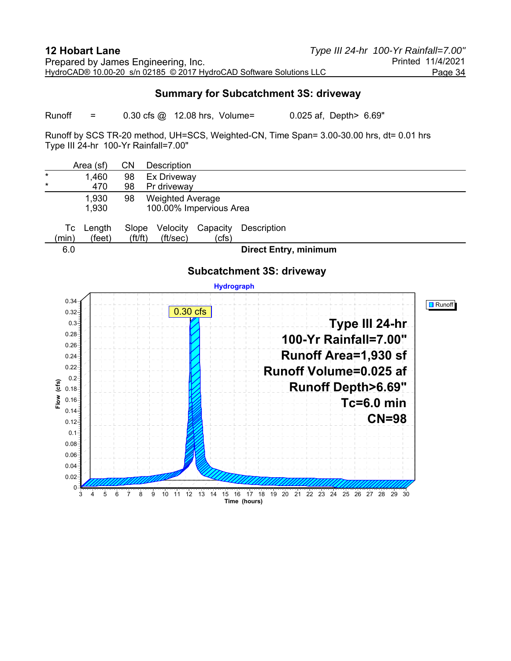#### **Summary for Subcatchment 3S: driveway**

Runoff =  $0.30 \text{ cfs}$   $\omega$  12.08 hrs, Volume=  $0.025 \text{ af}$ , Depth> 6.69"

Runoff by SCS TR-20 method, UH=SCS, Weighted-CN, Time Span= 3.00-30.00 hrs, dt= 0.01 hrs Type III 24-hr 100-Yr Rainfall=7.00"

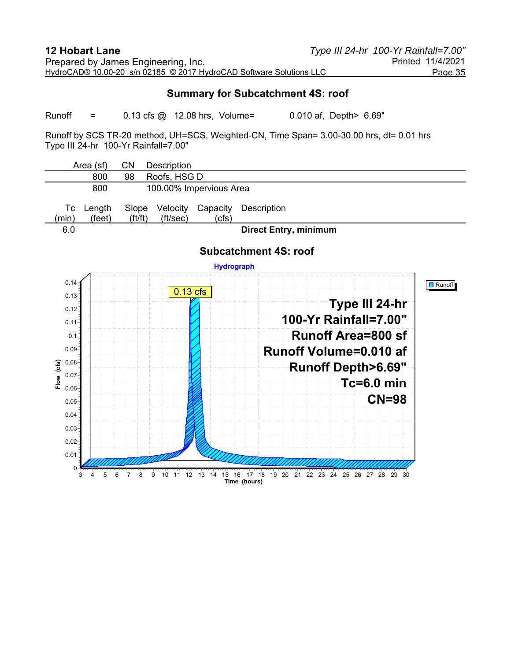#### **Summary for Subcatchment 4S: roof**

Runoff =  $0.13 \text{ cfs}$   $\omega$  12.08 hrs, Volume=  $0.010 \text{ af}$ , Depth> 6.69"

Runoff by SCS TR-20 method, UH=SCS, Weighted-CN, Time Span= 3.00-30.00 hrs, dt= 0.01 hrs Type III 24-hr 100-Yr Rainfall=7.00"

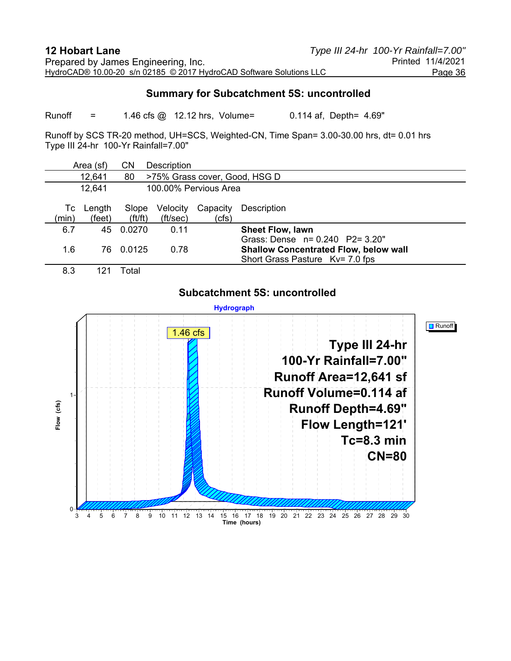#### **Summary for Subcatchment 5S: uncontrolled**

Runoff = 1.46 cfs @ 12.12 hrs, Volume= 0.114 af, Depth= 4.69"

Runoff by SCS TR-20 method, UH=SCS, Weighted-CN, Time Span= 3.00-30.00 hrs, dt= 0.01 hrs Type III 24-hr 100-Yr Rainfall=7.00"

|                                               | Area (sf)        | CN                             | Description          |                   |                                                                                                                       |
|-----------------------------------------------|------------------|--------------------------------|----------------------|-------------------|-----------------------------------------------------------------------------------------------------------------------|
| 12,641<br>>75% Grass cover, Good, HSG D<br>80 |                  |                                |                      |                   |                                                                                                                       |
| 12,641                                        |                  | 100,00% Pervious Area          |                      |                   |                                                                                                                       |
| Tc<br>(min)                                   | Length<br>(feet) | Slope<br>$({\rm ft}/{\rm ft})$ | Velocity<br>(ft/sec) | Capacity<br>(cfs) | Description                                                                                                           |
| 6.7                                           | 45               | 0.0270                         | 0.11                 |                   | <b>Sheet Flow, lawn</b>                                                                                               |
| 1.6                                           | 76               | 0.0125                         | 0.78                 |                   | Grass: Dense $n = 0.240$ P2= 3.20"<br><b>Shallow Concentrated Flow, below wall</b><br>Short Grass Pasture Kv= 7.0 fps |
| 8.3                                           |                  | Total                          |                      |                   |                                                                                                                       |

#### **Subcatchment 5S: uncontrolled**

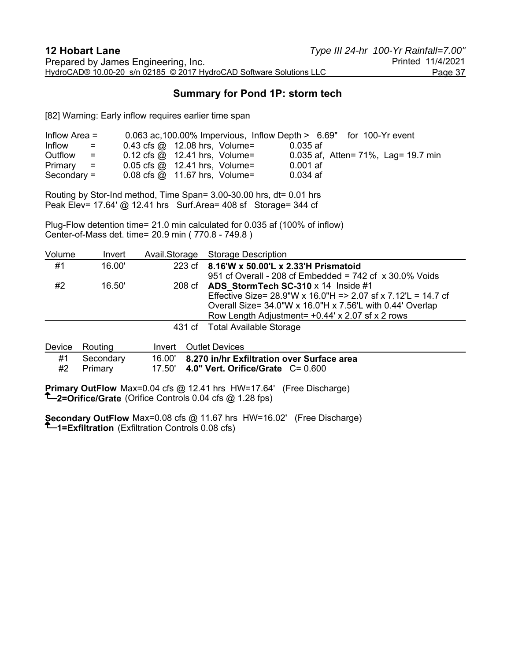## **Summary for Pond 1P: storm tech**

[82] Warning: Early inflow requires earlier time span

| Inflow Area $=$                                    | 0.063 ac, 100.00% Impervious, Inflow Depth > 6.69" for 100-Yr event |                                       |
|----------------------------------------------------|---------------------------------------------------------------------|---------------------------------------|
| Inflow<br>$\mathbf{r} = \mathbf{r}$                | $0.43$ cfs $\omega$ 12.08 hrs, Volume=                              | 0.035 af                              |
| Outflow<br>$\mathcal{L} = \mathcal{L} \mathcal{L}$ | $0.12 \text{ cfs} \textcircled{a}$ 12.41 hrs, Volume=               | 0.035 af, Atten = 71%, Lag = 19.7 min |
| Primary<br>$\omega = \pm 1$                        | $0.05$ cfs $\omega$ 12.41 hrs, Volume=                              | $0.001$ af                            |
| Secondary $=$                                      | $0.08 \text{ cfs} \quad \textcircled{a}$ 11.67 hrs, Volume=         | $0.034$ af                            |

Routing by Stor-Ind method, Time Span= 3.00-30.00 hrs, dt= 0.01 hrs Peak Elev= 17.64' @ 12.41 hrs Surf.Area= 408 sf Storage= 344 cf

Plug-Flow detention time= 21.0 min calculated for 0.035 af (100% of inflow) Center-of-Mass det. time= 20.9 min ( 770.8 - 749.8 )

| Volume | Invert | Avail Storage Storage Description                                  |
|--------|--------|--------------------------------------------------------------------|
| #1     | 16.00' | 223 cf 8.16'W x 50.00'L x 2.33'H Prismatoid                        |
|        |        | 951 cf Overall - 208 cf Embedded = $742$ cf $\times$ 30.0% Voids   |
| #2     | 16.50' | 208 cf ADS StormTech SC-310 $\times$ 14 Inside #1                  |
|        |        | Effective Size= 28.9"W x 16.0"H = > 2.07 sf x 7.12"L = 14.7 cf     |
|        |        | Overall Size= $34.0$ "W x $16.0$ "H x $7.56$ "L with 0.44' Overlap |
|        |        | Row Length Adjustment = $+0.44$ ' x 2.07 sf x 2 rows               |
|        |        | 431 cf Total Available Storage                                     |
|        |        |                                                                    |

|    | Device Routing | Invert Outlet Devices                             |
|----|----------------|---------------------------------------------------|
| #1 | Secondarv      | 16.00' 8.270 in/hr Exfiltration over Surface area |
| #2 | Primary        | 17.50' 4.0" Vert. Orifice/Grate $C = 0.600$       |

**Primary OutFlow** Max=0.04 cfs @ 12.41 hrs HW=17.64' (Free Discharge) **2=Orifice/Grate** (Orifice Controls 0.04 cfs @ 1.28 fps)

**Secondary OutFlow** Max=0.08 cfs @ 11.67 hrs HW=16.02' (Free Discharge) **1=Exfiltration** (Exfiltration Controls 0.08 cfs)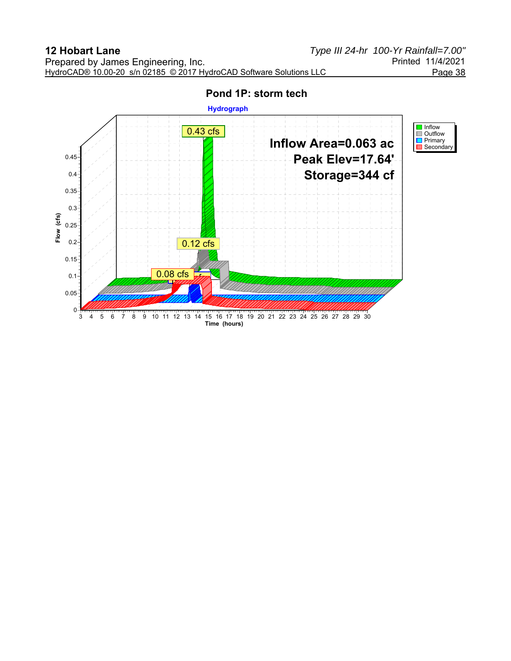

# **Pond 1P: storm tech**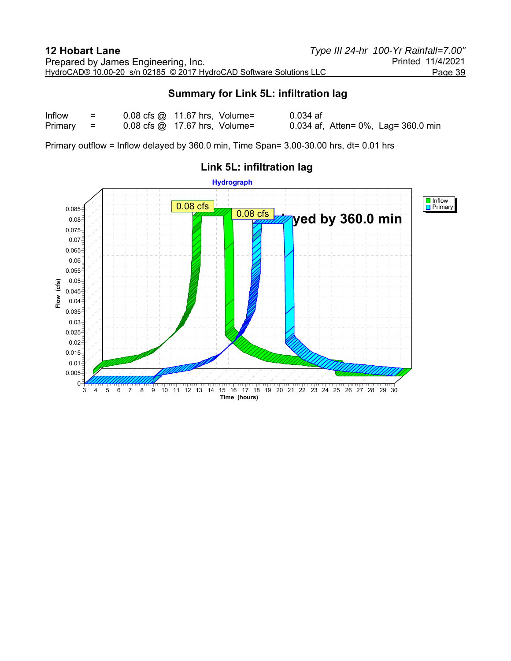## **Summary for Link 5L: infiltration lag**

| Inflow  | $\equiv$      | $0.08$ cfs $\omega$ 11.67 hrs, Volume=                            | $0.034$ af                          |
|---------|---------------|-------------------------------------------------------------------|-------------------------------------|
| Primary | $\sim$ $\sim$ | $0.08 \text{ cfs} \text{ @ } 17.67 \text{ hrs}, \text{ Volume} =$ | 0.034 af, Atten= 0%, Lag= 360.0 min |

Primary outflow = Inflow delayed by 360.0 min, Time Span= 3.00-30.00 hrs, dt= 0.01 hrs



# **Link 5L: infiltration lag**